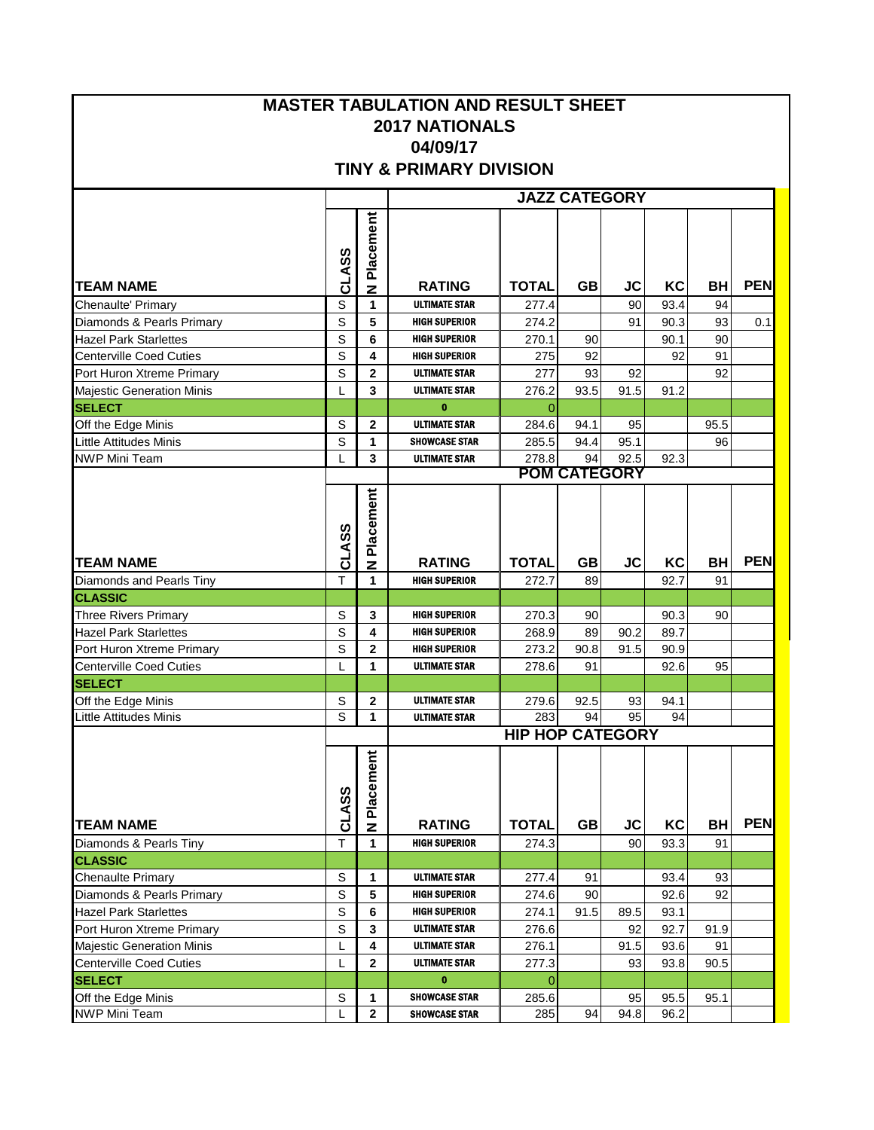## **MASTER TABULATION AND RESULT SHEET 2017 NATIONALS 04/09/17 TINY & PRIMARY DIVISION**

|                                  |             |                |                      |                         |           | <b>JAZZ CATEGORY</b> |      |           |            |
|----------------------------------|-------------|----------------|----------------------|-------------------------|-----------|----------------------|------|-----------|------------|
|                                  | CLASS       | Placement      |                      |                         |           |                      |      |           |            |
| <b>TEAM NAME</b>                 |             | z              | <b>RATING</b>        | <b>TOTAL</b>            | <b>GB</b> | JC                   | KC   | BH        | <b>PEN</b> |
| Chenaulte' Primary               | $\mathsf S$ | 1              | <b>ULTIMATE STAR</b> | 277.4                   |           | 90                   | 93.4 | 94        |            |
| Diamonds & Pearls Primary        | $\mathsf S$ | 5              | <b>HIGH SUPERIOR</b> | 274.2                   |           | 91                   | 90.3 | 93        | 0.1        |
| <b>Hazel Park Starlettes</b>     | $\mathsf S$ | 6              | <b>HIGH SUPERIOR</b> | 270.1                   | 90        |                      | 90.1 | 90        |            |
| <b>Centerville Coed Cuties</b>   | S           | 4              | <b>HIGH SUPERIOR</b> | 275                     | 92        |                      | 92   | 91        |            |
| Port Huron Xtreme Primary        | S           | $\overline{2}$ | <b>ULTIMATE STAR</b> | 277                     | 93        | 92                   |      | 92        |            |
| <b>Majestic Generation Minis</b> | L           | 3              | <b>ULTIMATE STAR</b> | 276.2                   | 93.5      | 91.5                 | 91.2 |           |            |
| <b>SELECT</b>                    |             |                | $\bf{0}$             | $\mathbf 0$             |           |                      |      |           |            |
| Off the Edge Minis               | S           | $\mathbf{2}$   | <b>ULTIMATE STAR</b> | 284.6                   | 94.1      | 95                   |      | 95.5      |            |
| <b>Little Attitudes Minis</b>    | S           | 1              | <b>SHOWCASE STAR</b> | 285.5                   | 94.4      | 95.1                 |      | 96        |            |
| <b>NWP Mini Team</b>             | L           | 3              | <b>ULTIMATE STAR</b> | 278.8                   | 94        | 92.5                 | 92.3 |           |            |
|                                  |             |                |                      |                         |           | <b>POM CATEGORY</b>  |      |           |            |
|                                  | CLASS       | N Placement    |                      |                         |           |                      |      |           |            |
| <b>ITEAM NAME</b>                |             |                | <b>RATING</b>        | <b>TOTAL</b>            | GВ        | <b>JC</b>            | KC   | <b>BH</b> | <b>PEN</b> |
| Diamonds and Pearls Tiny         | T           | $\mathbf{1}$   | <b>HIGH SUPERIOR</b> | 272.7                   | 89        |                      | 92.7 | 91        |            |
| <b>CLASSIC</b>                   |             |                |                      |                         |           |                      |      |           |            |
| <b>Three Rivers Primary</b>      | $\mathsf S$ | 3              | <b>HIGH SUPERIOR</b> | 270.3                   | 90        |                      | 90.3 | 90        |            |
| <b>Hazel Park Starlettes</b>     | S           | 4              | <b>HIGH SUPERIOR</b> | 268.9                   | 89        | 90.2                 | 89.7 |           |            |
| Port Huron Xtreme Primary        | S           | $\mathbf 2$    | <b>HIGH SUPERIOR</b> | 273.2                   | 90.8      | 91.5                 | 90.9 |           |            |
| <b>Centerville Coed Cuties</b>   | L           | 1              | <b>ULTIMATE STAR</b> | 278.6                   | 91        |                      | 92.6 | 95        |            |
| <b>SELECT</b>                    |             |                |                      |                         |           |                      |      |           |            |
| Off the Edge Minis               | $\mathsf S$ | 2              | <b>ULTIMATE STAR</b> | 279.6                   | 92.5      | 93                   | 94.1 |           |            |
| Little Attitudes Minis           | S           | 1              | <b>ULTIMATE STAR</b> | 283                     | 94        | 95                   | 94   |           |            |
|                                  |             |                |                      | <b>HIP HOP CATEGORY</b> |           |                      |      |           |            |
| <b>TEAM NAME</b>                 | CLASS       | Placement      | <b>RATING</b>        | <b>TOTAL</b>            | <b>GB</b> | <b>JC</b>            | KC   | <b>BH</b> | <b>PEN</b> |
| Diamonds & Pearls Tiny           | T           | 1              | <b>HIGH SUPERIOR</b> | 274.3                   |           | 90                   | 93.3 | 91        |            |
| <b>CLASSIC</b>                   |             |                |                      |                         |           |                      |      |           |            |
| <b>Chenaulte Primary</b>         | S           | 1              | <b>ULTIMATE STAR</b> | 277.4                   | 91        |                      | 93.4 | 93        |            |
| Diamonds & Pearls Primary        | S           | 5              | <b>HIGH SUPERIOR</b> | 274.6                   | 90        |                      | 92.6 | 92        |            |
| <b>Hazel Park Starlettes</b>     | $\mathbb S$ | 6              | <b>HIGH SUPERIOR</b> | 274.1                   | 91.5      | 89.5                 | 93.1 |           |            |
| Port Huron Xtreme Primary        | S           | 3              | <b>ULTIMATE STAR</b> | 276.6                   |           | 92                   | 92.7 | 91.9      |            |
| <b>Majestic Generation Minis</b> |             | 4              | <b>ULTIMATE STAR</b> | 276.1                   |           | 91.5                 | 93.6 | 91        |            |
| <b>Centerville Coed Cuties</b>   | L           | $\mathbf{2}$   | <b>ULTIMATE STAR</b> | 277.3                   |           | 93                   | 93.8 | 90.5      |            |
| <b>SELECT</b>                    | L           |                | 0                    |                         |           |                      |      |           |            |
| Off the Edge Minis               | $\mathbb S$ | 1              | <b>SHOWCASE STAR</b> | $\mathbf 0$<br>285.6    |           | 95                   | 95.5 | 95.1      |            |
| NWP Mini Team                    | L           | $\mathbf{2}$   | <b>SHOWCASE STAR</b> | 285                     | 94        | 94.8                 | 96.2 |           |            |
|                                  |             |                |                      |                         |           |                      |      |           |            |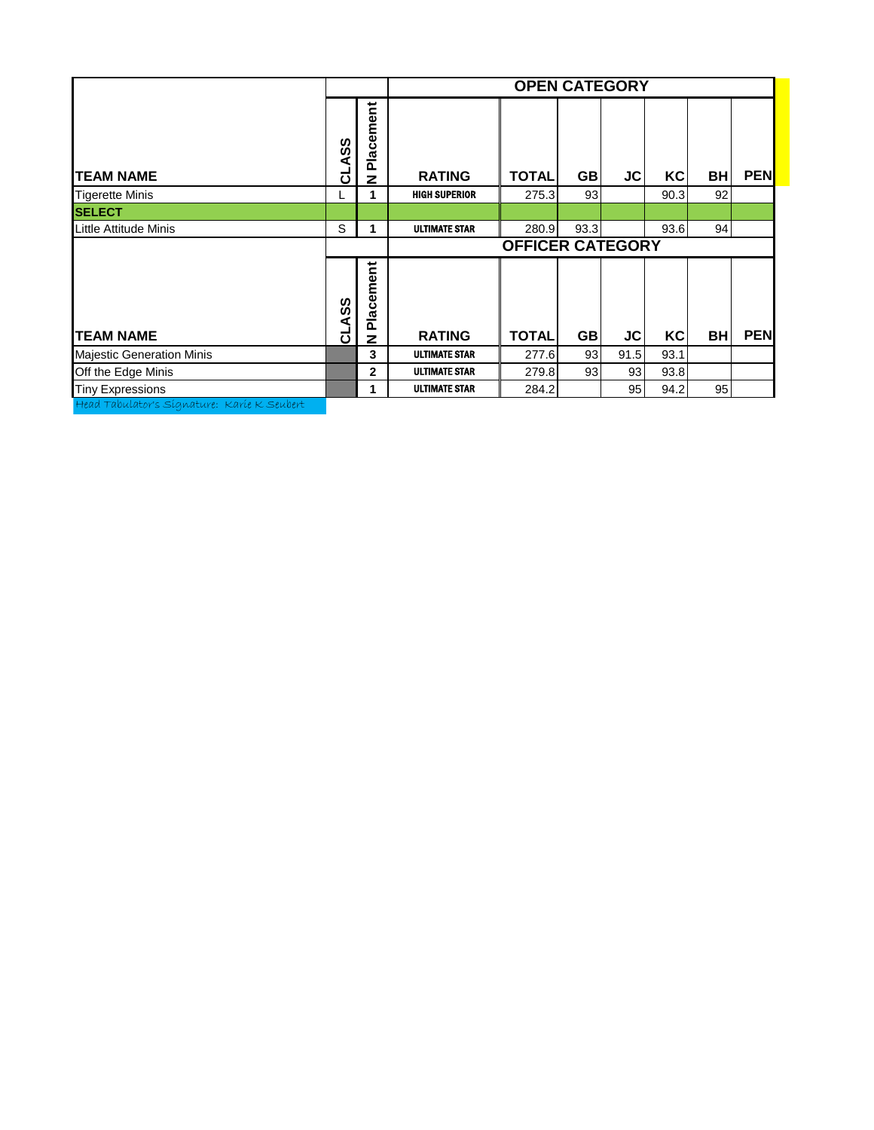|                                             |              |                           |                      | <b>OPEN CATEGORY</b>    |           |      |      |           |            |
|---------------------------------------------|--------------|---------------------------|----------------------|-------------------------|-----------|------|------|-----------|------------|
| <b>TEAM NAME</b>                            | <b>CLASS</b> | Placement<br>$\mathbf{z}$ | <b>RATING</b>        | <b>TOTAL</b>            | <b>GB</b> | JC   | KC   | <b>BH</b> | <b>PEN</b> |
| <b>Tigerette Minis</b>                      |              |                           | <b>HIGH SUPERIOR</b> | 275.3                   | 93        |      | 90.3 | 92        |            |
| <b>SELECT</b>                               |              |                           |                      |                         |           |      |      |           |            |
| Little Attitude Minis                       | S            | 1                         | <b>ULTIMATE STAR</b> | 280.9                   | 93.3      |      | 93.6 | 94        |            |
|                                             |              |                           |                      | <b>OFFICER CATEGORY</b> |           |      |      |           |            |
| <b>TEAM NAME</b>                            | ASS<br>ಕ     | Placement<br>z            | <b>RATING</b>        | <b>TOTAL</b>            | <b>GB</b> | JC   | KC   | <b>BH</b> | <b>PEN</b> |
| <b>Majestic Generation Minis</b>            |              | 3                         | <b>ULTIMATE STAR</b> | 277.6                   | 93        | 91.5 | 93.1 |           |            |
| Off the Edge Minis                          |              | $\mathbf{2}$              | <b>ULTIMATE STAR</b> | 279.8                   | 93        | 93   | 93.8 |           |            |
| <b>Tiny Expressions</b>                     |              | 1                         | <b>ULTIMATE STAR</b> | 284.2                   |           | 95   | 94.2 | 95        |            |
| Head Tabulator's Signature: Karie K Seubert |              |                           |                      |                         |           |      |      |           |            |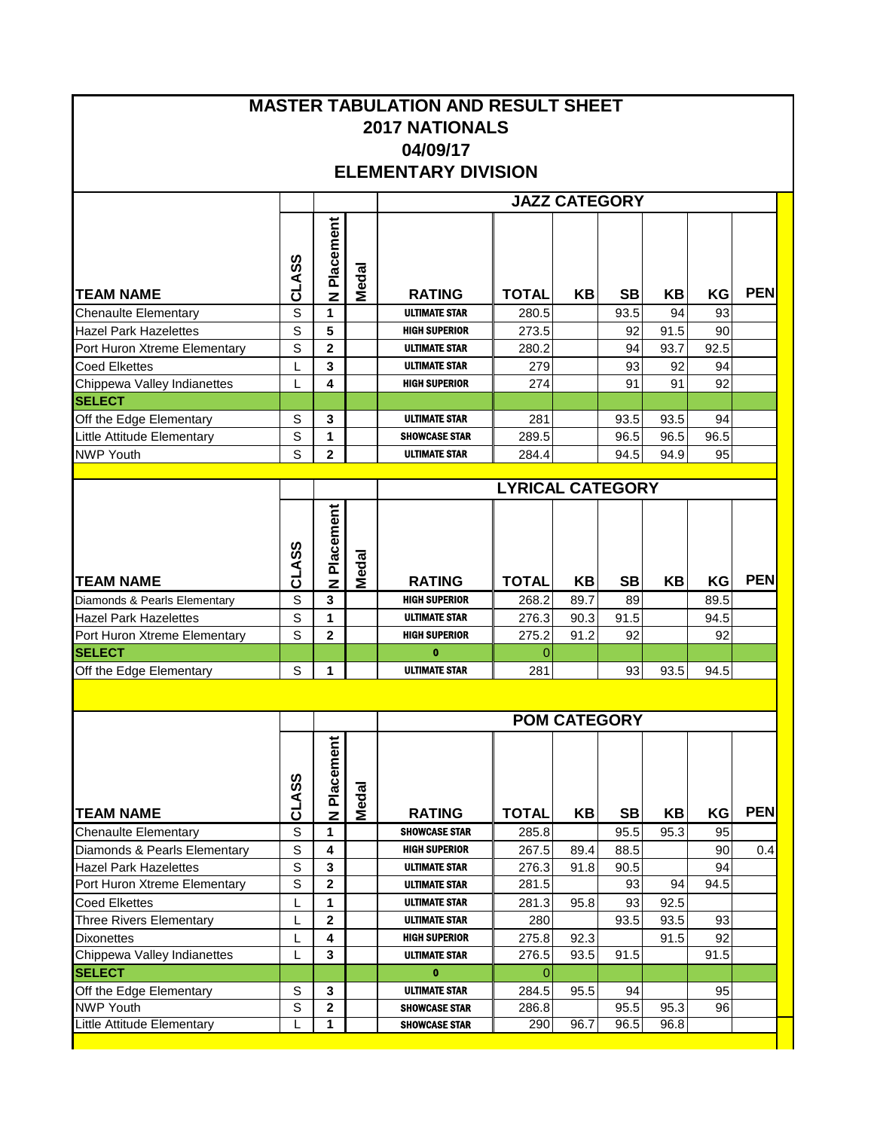|                                                     | <b>MASTER TABULATION AND RESULT SHEET</b><br><b>2017 NATIONALS</b><br>04/09/17<br><b>ELEMENTARY DIVISION</b><br><b>JAZZ CATEGORY</b><br>Placement<br>CLASS<br>Medal<br><b>PEN</b><br><b>RATING</b><br><b>TOTAL</b><br>ΚB<br><b>SB</b><br>KΒ<br>KG<br>z<br>S<br>1<br><b>ULTIMATE STAR</b><br>280.5<br>93.5<br>94<br>93<br>5<br>S<br><b>HIGH SUPERIOR</b><br>273.5<br>92<br>90<br>91.5<br>$\overline{\mathbf{2}}$<br>S<br>92.5<br><b>ULTIMATE STAR</b><br>280.2<br>94<br>93.7<br>3<br><b>ULTIMATE STAR</b><br>279<br>93<br>92<br>94<br>4<br><b>HIGH SUPERIOR</b><br>274<br>91<br>92<br>91<br>L<br>S<br>3<br><b>ULTIMATE STAR</b><br>94<br>281<br>93.5<br>93.5<br>S<br>1<br>96.5<br><b>SHOWCASE STAR</b><br>289.5<br>96.5<br>96.5<br>S<br>$\overline{2}$<br>95<br><b>ULTIMATE STAR</b><br>284.4<br>94.5<br>94.9<br><b>LYRICAL CATEGORY</b><br>N Placement<br>CLASS<br><b>Medal</b><br><b>PEN</b><br><b>RATING</b><br><b>TOTAL</b><br>KB<br><b>SB</b><br><b>KB</b><br>KG<br>S<br>$\mathbf{3}$<br>89.7<br>89.5<br><b>HIGH SUPERIOR</b><br>268.2<br>89<br>S<br>1<br><b>ULTIMATE STAR</b><br>276.3<br>90.3<br>91.5<br>94.5<br>$\overline{2}$<br>S<br><b>HIGH SUPERIOR</b><br>275.2<br>91.2<br>92<br>92<br>$\mathbf{0}$<br>$\overline{0}$<br>S<br>1<br><b>ULTIMATE STAR</b><br>281<br>93<br>93.5<br>94.5 |                                                                                                                                                                                                                                                                                                                                                                                                                                                                                                                                                                                                                                                                                  |  |                      |       |      |      |      |    |            |
|-----------------------------------------------------|--------------------------------------------------------------------------------------------------------------------------------------------------------------------------------------------------------------------------------------------------------------------------------------------------------------------------------------------------------------------------------------------------------------------------------------------------------------------------------------------------------------------------------------------------------------------------------------------------------------------------------------------------------------------------------------------------------------------------------------------------------------------------------------------------------------------------------------------------------------------------------------------------------------------------------------------------------------------------------------------------------------------------------------------------------------------------------------------------------------------------------------------------------------------------------------------------------------------------------------------------------------------------------------------------|----------------------------------------------------------------------------------------------------------------------------------------------------------------------------------------------------------------------------------------------------------------------------------------------------------------------------------------------------------------------------------------------------------------------------------------------------------------------------------------------------------------------------------------------------------------------------------------------------------------------------------------------------------------------------------|--|----------------------|-------|------|------|------|----|------------|
|                                                     |                                                                                                                                                                                                                                                                                                                                                                                                                                                                                                                                                                                                                                                                                                                                                                                                                                                                                                                                                                                                                                                                                                                                                                                                                                                                                                  |                                                                                                                                                                                                                                                                                                                                                                                                                                                                                                                                                                                                                                                                                  |  |                      |       |      |      |      |    |            |
|                                                     |                                                                                                                                                                                                                                                                                                                                                                                                                                                                                                                                                                                                                                                                                                                                                                                                                                                                                                                                                                                                                                                                                                                                                                                                                                                                                                  |                                                                                                                                                                                                                                                                                                                                                                                                                                                                                                                                                                                                                                                                                  |  |                      |       |      |      |      |    |            |
|                                                     |                                                                                                                                                                                                                                                                                                                                                                                                                                                                                                                                                                                                                                                                                                                                                                                                                                                                                                                                                                                                                                                                                                                                                                                                                                                                                                  |                                                                                                                                                                                                                                                                                                                                                                                                                                                                                                                                                                                                                                                                                  |  |                      |       |      |      |      |    |            |
|                                                     |                                                                                                                                                                                                                                                                                                                                                                                                                                                                                                                                                                                                                                                                                                                                                                                                                                                                                                                                                                                                                                                                                                                                                                                                                                                                                                  |                                                                                                                                                                                                                                                                                                                                                                                                                                                                                                                                                                                                                                                                                  |  |                      |       |      |      |      |    |            |
|                                                     |                                                                                                                                                                                                                                                                                                                                                                                                                                                                                                                                                                                                                                                                                                                                                                                                                                                                                                                                                                                                                                                                                                                                                                                                                                                                                                  |                                                                                                                                                                                                                                                                                                                                                                                                                                                                                                                                                                                                                                                                                  |  |                      |       |      |      |      |    |            |
| <b>TEAM NAME</b>                                    |                                                                                                                                                                                                                                                                                                                                                                                                                                                                                                                                                                                                                                                                                                                                                                                                                                                                                                                                                                                                                                                                                                                                                                                                                                                                                                  |                                                                                                                                                                                                                                                                                                                                                                                                                                                                                                                                                                                                                                                                                  |  |                      |       |      |      |      |    |            |
| <b>Chenaulte Elementary</b>                         |                                                                                                                                                                                                                                                                                                                                                                                                                                                                                                                                                                                                                                                                                                                                                                                                                                                                                                                                                                                                                                                                                                                                                                                                                                                                                                  | <b>POM CATEGORY</b><br>N Placement<br>Medal<br><b>KB</b><br><b>SB</b><br><b>RATING</b><br><b>TOTAL</b><br>ΚB<br>KG<br><b>SHOWCASE STAR</b><br>1<br>285.8<br>95.5<br>95.3<br>95<br>4<br><b>HIGH SUPERIOR</b><br>90<br>267.5<br>89.4<br>88.5<br>$\mathbf{3}$<br><b>ULTIMATE STAR</b><br>276.3<br>94<br>91.8<br>90.5<br>$\mathbf{2}$<br>93<br>94.5<br>281.5<br>94<br><b>ULTIMATE STAR</b><br>1<br><b>ULTIMATE STAR</b><br>93<br>281.3<br>95.8<br>92.5<br>$\mathbf 2$<br><b>ULTIMATE STAR</b><br>93.5<br>93<br>280<br>93.5<br><b>HIGH SUPERIOR</b><br>4<br>275.8<br>92.3<br>91.5<br>92<br>3<br>276.5<br>93.5<br>91.5<br>91.5<br><b>ULTIMATE STAR</b><br>$\mathbf{0}$<br>$\mathbf{0}$ |  |                      |       |      |      |      |    |            |
| <b>Hazel Park Hazelettes</b>                        |                                                                                                                                                                                                                                                                                                                                                                                                                                                                                                                                                                                                                                                                                                                                                                                                                                                                                                                                                                                                                                                                                                                                                                                                                                                                                                  |                                                                                                                                                                                                                                                                                                                                                                                                                                                                                                                                                                                                                                                                                  |  |                      |       |      |      |      |    |            |
| Port Huron Xtreme Elementary                        |                                                                                                                                                                                                                                                                                                                                                                                                                                                                                                                                                                                                                                                                                                                                                                                                                                                                                                                                                                                                                                                                                                                                                                                                                                                                                                  |                                                                                                                                                                                                                                                                                                                                                                                                                                                                                                                                                                                                                                                                                  |  |                      |       |      |      |      |    |            |
| <b>Coed Elkettes</b>                                |                                                                                                                                                                                                                                                                                                                                                                                                                                                                                                                                                                                                                                                                                                                                                                                                                                                                                                                                                                                                                                                                                                                                                                                                                                                                                                  |                                                                                                                                                                                                                                                                                                                                                                                                                                                                                                                                                                                                                                                                                  |  |                      |       |      |      |      |    |            |
| Chippewa Valley Indianettes                         |                                                                                                                                                                                                                                                                                                                                                                                                                                                                                                                                                                                                                                                                                                                                                                                                                                                                                                                                                                                                                                                                                                                                                                                                                                                                                                  |                                                                                                                                                                                                                                                                                                                                                                                                                                                                                                                                                                                                                                                                                  |  |                      |       |      |      |      |    |            |
| <b>SELECT</b>                                       |                                                                                                                                                                                                                                                                                                                                                                                                                                                                                                                                                                                                                                                                                                                                                                                                                                                                                                                                                                                                                                                                                                                                                                                                                                                                                                  |                                                                                                                                                                                                                                                                                                                                                                                                                                                                                                                                                                                                                                                                                  |  |                      |       |      |      |      |    |            |
| Off the Edge Elementary                             |                                                                                                                                                                                                                                                                                                                                                                                                                                                                                                                                                                                                                                                                                                                                                                                                                                                                                                                                                                                                                                                                                                                                                                                                                                                                                                  |                                                                                                                                                                                                                                                                                                                                                                                                                                                                                                                                                                                                                                                                                  |  |                      |       |      |      |      |    |            |
| Little Attitude Elementary                          |                                                                                                                                                                                                                                                                                                                                                                                                                                                                                                                                                                                                                                                                                                                                                                                                                                                                                                                                                                                                                                                                                                                                                                                                                                                                                                  |                                                                                                                                                                                                                                                                                                                                                                                                                                                                                                                                                                                                                                                                                  |  |                      |       |      |      |      |    |            |
| <b>NWP Youth</b>                                    |                                                                                                                                                                                                                                                                                                                                                                                                                                                                                                                                                                                                                                                                                                                                                                                                                                                                                                                                                                                                                                                                                                                                                                                                                                                                                                  |                                                                                                                                                                                                                                                                                                                                                                                                                                                                                                                                                                                                                                                                                  |  |                      |       |      |      |      |    |            |
|                                                     |                                                                                                                                                                                                                                                                                                                                                                                                                                                                                                                                                                                                                                                                                                                                                                                                                                                                                                                                                                                                                                                                                                                                                                                                                                                                                                  |                                                                                                                                                                                                                                                                                                                                                                                                                                                                                                                                                                                                                                                                                  |  |                      |       |      |      |      |    |            |
|                                                     |                                                                                                                                                                                                                                                                                                                                                                                                                                                                                                                                                                                                                                                                                                                                                                                                                                                                                                                                                                                                                                                                                                                                                                                                                                                                                                  |                                                                                                                                                                                                                                                                                                                                                                                                                                                                                                                                                                                                                                                                                  |  |                      |       |      |      |      |    |            |
|                                                     |                                                                                                                                                                                                                                                                                                                                                                                                                                                                                                                                                                                                                                                                                                                                                                                                                                                                                                                                                                                                                                                                                                                                                                                                                                                                                                  |                                                                                                                                                                                                                                                                                                                                                                                                                                                                                                                                                                                                                                                                                  |  |                      |       |      |      |      |    |            |
| <b>TEAM NAME</b>                                    |                                                                                                                                                                                                                                                                                                                                                                                                                                                                                                                                                                                                                                                                                                                                                                                                                                                                                                                                                                                                                                                                                                                                                                                                                                                                                                  |                                                                                                                                                                                                                                                                                                                                                                                                                                                                                                                                                                                                                                                                                  |  |                      |       |      |      |      |    |            |
| Diamonds & Pearls Elementary                        |                                                                                                                                                                                                                                                                                                                                                                                                                                                                                                                                                                                                                                                                                                                                                                                                                                                                                                                                                                                                                                                                                                                                                                                                                                                                                                  |                                                                                                                                                                                                                                                                                                                                                                                                                                                                                                                                                                                                                                                                                  |  |                      |       |      |      |      |    |            |
| <b>Hazel Park Hazelettes</b>                        |                                                                                                                                                                                                                                                                                                                                                                                                                                                                                                                                                                                                                                                                                                                                                                                                                                                                                                                                                                                                                                                                                                                                                                                                                                                                                                  |                                                                                                                                                                                                                                                                                                                                                                                                                                                                                                                                                                                                                                                                                  |  |                      |       |      |      |      |    |            |
|                                                     |                                                                                                                                                                                                                                                                                                                                                                                                                                                                                                                                                                                                                                                                                                                                                                                                                                                                                                                                                                                                                                                                                                                                                                                                                                                                                                  |                                                                                                                                                                                                                                                                                                                                                                                                                                                                                                                                                                                                                                                                                  |  |                      |       |      |      |      |    |            |
| Port Huron Xtreme Elementary                        |                                                                                                                                                                                                                                                                                                                                                                                                                                                                                                                                                                                                                                                                                                                                                                                                                                                                                                                                                                                                                                                                                                                                                                                                                                                                                                  |                                                                                                                                                                                                                                                                                                                                                                                                                                                                                                                                                                                                                                                                                  |  |                      |       |      |      |      |    |            |
| <b>SELECT</b>                                       |                                                                                                                                                                                                                                                                                                                                                                                                                                                                                                                                                                                                                                                                                                                                                                                                                                                                                                                                                                                                                                                                                                                                                                                                                                                                                                  |                                                                                                                                                                                                                                                                                                                                                                                                                                                                                                                                                                                                                                                                                  |  |                      |       |      |      |      |    |            |
| Off the Edge Elementary                             |                                                                                                                                                                                                                                                                                                                                                                                                                                                                                                                                                                                                                                                                                                                                                                                                                                                                                                                                                                                                                                                                                                                                                                                                                                                                                                  |                                                                                                                                                                                                                                                                                                                                                                                                                                                                                                                                                                                                                                                                                  |  |                      |       |      |      |      |    |            |
|                                                     |                                                                                                                                                                                                                                                                                                                                                                                                                                                                                                                                                                                                                                                                                                                                                                                                                                                                                                                                                                                                                                                                                                                                                                                                                                                                                                  |                                                                                                                                                                                                                                                                                                                                                                                                                                                                                                                                                                                                                                                                                  |  |                      |       |      |      |      |    |            |
|                                                     |                                                                                                                                                                                                                                                                                                                                                                                                                                                                                                                                                                                                                                                                                                                                                                                                                                                                                                                                                                                                                                                                                                                                                                                                                                                                                                  |                                                                                                                                                                                                                                                                                                                                                                                                                                                                                                                                                                                                                                                                                  |  |                      |       |      |      |      |    |            |
|                                                     |                                                                                                                                                                                                                                                                                                                                                                                                                                                                                                                                                                                                                                                                                                                                                                                                                                                                                                                                                                                                                                                                                                                                                                                                                                                                                                  |                                                                                                                                                                                                                                                                                                                                                                                                                                                                                                                                                                                                                                                                                  |  |                      |       |      |      |      |    |            |
|                                                     |                                                                                                                                                                                                                                                                                                                                                                                                                                                                                                                                                                                                                                                                                                                                                                                                                                                                                                                                                                                                                                                                                                                                                                                                                                                                                                  |                                                                                                                                                                                                                                                                                                                                                                                                                                                                                                                                                                                                                                                                                  |  |                      |       |      |      |      |    |            |
| <b>TEAM NAME</b>                                    | CLASS                                                                                                                                                                                                                                                                                                                                                                                                                                                                                                                                                                                                                                                                                                                                                                                                                                                                                                                                                                                                                                                                                                                                                                                                                                                                                            |                                                                                                                                                                                                                                                                                                                                                                                                                                                                                                                                                                                                                                                                                  |  |                      |       |      |      |      |    | <b>PEN</b> |
| <b>Chenaulte Elementary</b>                         | S                                                                                                                                                                                                                                                                                                                                                                                                                                                                                                                                                                                                                                                                                                                                                                                                                                                                                                                                                                                                                                                                                                                                                                                                                                                                                                |                                                                                                                                                                                                                                                                                                                                                                                                                                                                                                                                                                                                                                                                                  |  |                      |       |      |      |      |    |            |
| Diamonds & Pearls Elementary                        | $\mathbb S$                                                                                                                                                                                                                                                                                                                                                                                                                                                                                                                                                                                                                                                                                                                                                                                                                                                                                                                                                                                                                                                                                                                                                                                                                                                                                      |                                                                                                                                                                                                                                                                                                                                                                                                                                                                                                                                                                                                                                                                                  |  |                      |       |      |      |      |    | 0.4        |
| <b>Hazel Park Hazelettes</b>                        | S<br>S                                                                                                                                                                                                                                                                                                                                                                                                                                                                                                                                                                                                                                                                                                                                                                                                                                                                                                                                                                                                                                                                                                                                                                                                                                                                                           |                                                                                                                                                                                                                                                                                                                                                                                                                                                                                                                                                                                                                                                                                  |  |                      |       |      |      |      |    |            |
| Port Huron Xtreme Elementary<br>Coed Elkettes       | L                                                                                                                                                                                                                                                                                                                                                                                                                                                                                                                                                                                                                                                                                                                                                                                                                                                                                                                                                                                                                                                                                                                                                                                                                                                                                                |                                                                                                                                                                                                                                                                                                                                                                                                                                                                                                                                                                                                                                                                                  |  |                      |       |      |      |      |    |            |
|                                                     | L                                                                                                                                                                                                                                                                                                                                                                                                                                                                                                                                                                                                                                                                                                                                                                                                                                                                                                                                                                                                                                                                                                                                                                                                                                                                                                |                                                                                                                                                                                                                                                                                                                                                                                                                                                                                                                                                                                                                                                                                  |  |                      |       |      |      |      |    |            |
| <b>Three Rivers Elementary</b><br><b>Dixonettes</b> | L                                                                                                                                                                                                                                                                                                                                                                                                                                                                                                                                                                                                                                                                                                                                                                                                                                                                                                                                                                                                                                                                                                                                                                                                                                                                                                |                                                                                                                                                                                                                                                                                                                                                                                                                                                                                                                                                                                                                                                                                  |  |                      |       |      |      |      |    |            |
| Chippewa Valley Indianettes                         | L                                                                                                                                                                                                                                                                                                                                                                                                                                                                                                                                                                                                                                                                                                                                                                                                                                                                                                                                                                                                                                                                                                                                                                                                                                                                                                |                                                                                                                                                                                                                                                                                                                                                                                                                                                                                                                                                                                                                                                                                  |  |                      |       |      |      |      |    |            |
| <b>SELECT</b>                                       |                                                                                                                                                                                                                                                                                                                                                                                                                                                                                                                                                                                                                                                                                                                                                                                                                                                                                                                                                                                                                                                                                                                                                                                                                                                                                                  |                                                                                                                                                                                                                                                                                                                                                                                                                                                                                                                                                                                                                                                                                  |  |                      |       |      |      |      |    |            |
| Off the Edge Elementary                             | S                                                                                                                                                                                                                                                                                                                                                                                                                                                                                                                                                                                                                                                                                                                                                                                                                                                                                                                                                                                                                                                                                                                                                                                                                                                                                                | 3                                                                                                                                                                                                                                                                                                                                                                                                                                                                                                                                                                                                                                                                                |  | <b>ULTIMATE STAR</b> | 284.5 | 95.5 | 94   |      | 95 |            |
| <b>NWP Youth</b><br>Little Attitude Elementary      | S                                                                                                                                                                                                                                                                                                                                                                                                                                                                                                                                                                                                                                                                                                                                                                                                                                                                                                                                                                                                                                                                                                                                                                                                                                                                                                | $\mathbf{2}$                                                                                                                                                                                                                                                                                                                                                                                                                                                                                                                                                                                                                                                                     |  | <b>SHOWCASE STAR</b> | 286.8 |      | 95.5 | 95.3 | 96 |            |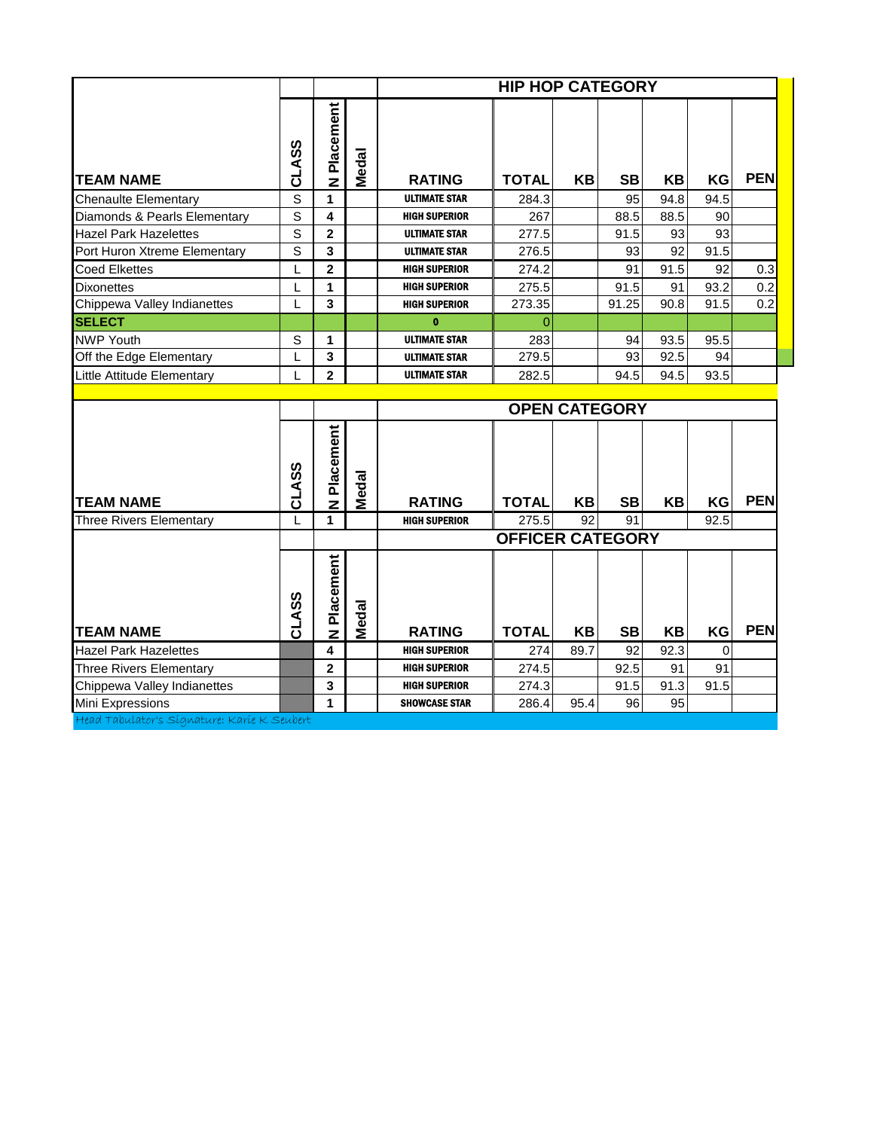|                                |              |                         |              |                      | <b>HIP HOP CATEGORY</b> |           |                      |      |          |            |
|--------------------------------|--------------|-------------------------|--------------|----------------------|-------------------------|-----------|----------------------|------|----------|------------|
| <b>TEAM NAME</b>               | CLASS        | N Placement             | Medal        | <b>RATING</b>        | <b>TOTAL</b>            | <b>KB</b> | <b>SB</b>            | KB   | KG       | <b>PEN</b> |
| <b>Chenaulte Elementary</b>    | S            | 1                       |              | <b>ULTIMATE STAR</b> | 284.3                   |           | 95                   | 94.8 | 94.5     |            |
| Diamonds & Pearls Elementary   | S            | 4                       |              | <b>HIGH SUPERIOR</b> | 267                     |           | 88.5                 | 88.5 | 90       |            |
| <b>Hazel Park Hazelettes</b>   | S            | $\mathbf{2}$            |              | <b>ULTIMATE STAR</b> | 277.5                   |           | 91.5                 | 93   | 93       |            |
| Port Huron Xtreme Elementary   | s            | 3                       |              | <b>ULTIMATE STAR</b> | 276.5                   |           | 93                   | 92   | 91.5     |            |
| <b>Coed Elkettes</b>           | L            | $\overline{\mathbf{2}}$ |              | <b>HIGH SUPERIOR</b> | 274.2                   |           | 91                   | 91.5 | 92       | 0.3        |
| <b>Dixonettes</b>              | L            | 1                       |              | <b>HIGH SUPERIOR</b> | 275.5                   |           | 91.5                 | 91   | 93.2     | 0.2        |
| Chippewa Valley Indianettes    |              | 3                       |              | <b>HIGH SUPERIOR</b> | 273.35                  |           | 91.25                | 90.8 | 91.5     | 0.2        |
| <b>SELECT</b>                  |              |                         |              | $\mathbf{0}$         | $\Omega$                |           |                      |      |          |            |
| <b>NWP Youth</b>               | S            | 1                       |              | <b>ULTIMATE STAR</b> | 283                     |           | 94                   | 93.5 | 95.5     |            |
| Off the Edge Elementary        | L            | $\overline{\mathbf{3}}$ |              | <b>ULTIMATE STAR</b> | 279.5                   |           | 93                   | 92.5 | 94       |            |
| Little Attitude Elementary     |              | $\overline{2}$          |              | <b>ULTIMATE STAR</b> | 282.5                   |           | 94.5                 | 94.5 | 93.5     |            |
|                                |              |                         |              |                      |                         |           |                      |      |          |            |
|                                |              |                         |              |                      |                         |           | <b>OPEN CATEGORY</b> |      |          |            |
| <b>TEAM NAME</b>               | CLASS        | N Placement             | Medal        | <b>RATING</b>        | <b>TOTAL</b>            | KB        | <b>SB</b>            | KB   | KG       | <b>PEN</b> |
| <b>Three Rivers Elementary</b> | $\mathbf{L}$ | 1                       |              | <b>HIGH SUPERIOR</b> | 275.5                   | 92        | 91                   |      | 92.5     |            |
|                                |              |                         |              |                      | <b>OFFICER CATEGORY</b> |           |                      |      |          |            |
| <b>TEAM NAME</b>               | CLASS        | Placement<br>z          | <b>Medal</b> | <b>RATING</b>        | <b>TOTAL</b>            | KB        | <b>SB</b>            | KB   | KG       | <b>PEN</b> |
| <b>Hazel Park Hazelettes</b>   |              | $\overline{\mathbf{4}}$ |              | <b>HIGH SUPERIOR</b> | 274                     | 89.7      | 92                   | 92.3 | $\Omega$ |            |
| <b>Three Rivers Elementary</b> |              | $\mathbf{2}$            |              | <b>HIGH SUPERIOR</b> | 274.5                   |           | 92.5                 | 91   | 91       |            |
| Chippewa Valley Indianettes    |              | 3                       |              | <b>HIGH SUPERIOR</b> | 274.3                   |           | 91.5                 | 91.3 | 91.5     |            |

**Chippewa Valley Indianettes <b>3 3 HIGH SUPERIOR** 274.3 91.5

Mini Expressions **11 1 SHOWCASE STAR** 286.4 95.4 96 95 Head Tabulator's Signature: Karie K Seubert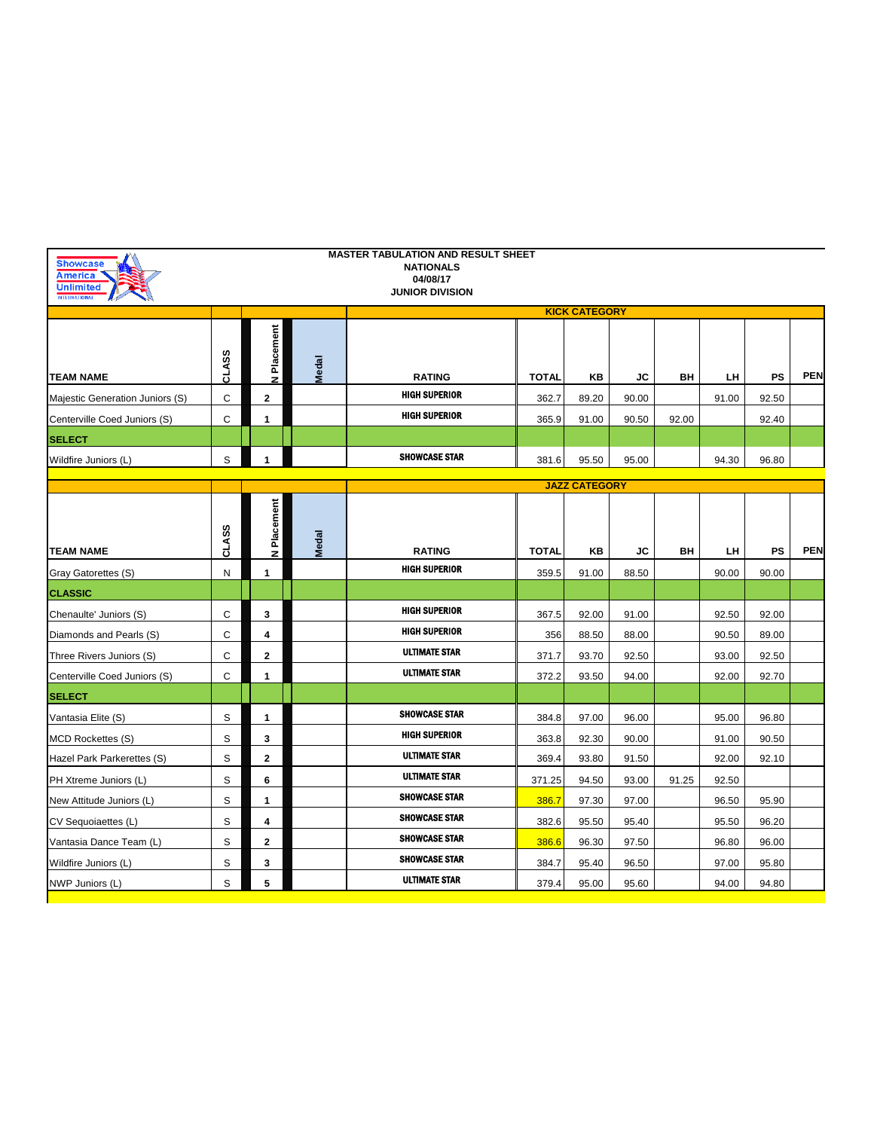| <b>Showcase</b><br><b>America</b><br><b>Unlimited</b><br><b>INTERNATIONA</b> |       |              |              | <b>MASTER TABULATION AND RESULT SHEET</b><br><b>NATIONALS</b><br>04/08/17<br><b>JUNIOR DIVISION</b> |              |                      |       |       |       |           |            |
|------------------------------------------------------------------------------|-------|--------------|--------------|-----------------------------------------------------------------------------------------------------|--------------|----------------------|-------|-------|-------|-----------|------------|
|                                                                              |       |              |              |                                                                                                     |              | <b>KICK CATEGORY</b> |       |       |       |           |            |
| <b>TEAM NAME</b>                                                             | CLASS | N Placement  | <b>Medal</b> | <b>RATING</b>                                                                                       | <b>TOTAL</b> | ΚB                   | JC    | BН    | LH    | PS        | <b>PEN</b> |
| Majestic Generation Juniors (S)                                              | C     | $\mathbf{2}$ |              | <b>HIGH SUPERIOR</b>                                                                                | 362.7        | 89.20                | 90.00 |       | 91.00 | 92.50     |            |
| Centerville Coed Juniors (S)                                                 | C     | 1            |              | <b>HIGH SUPERIOR</b>                                                                                | 365.9        | 91.00                | 90.50 | 92.00 |       | 92.40     |            |
| <b>SELECT</b>                                                                |       |              |              |                                                                                                     |              |                      |       |       |       |           |            |
| Wildfire Juniors (L)                                                         | S     | 1            |              | <b>SHOWCASE STAR</b>                                                                                | 381.6        | 95.50                | 95.00 |       | 94.30 | 96.80     |            |
|                                                                              |       |              |              |                                                                                                     |              | <b>JAZZ CATEGORY</b> |       |       |       |           |            |
|                                                                              | CLASS | Placement    |              |                                                                                                     |              |                      |       |       |       |           |            |
| <b>TEAM NAME</b>                                                             |       | z            | Medal        | <b>RATING</b>                                                                                       | <b>TOTAL</b> | ΚB                   | JC    | BН    | LH.   | <b>PS</b> | <b>PEN</b> |
| Gray Gatorettes (S)                                                          | N     | 1            |              | <b>HIGH SUPERIOR</b>                                                                                | 359.5        | 91.00                | 88.50 |       | 90.00 | 90.00     |            |
| <b>CLASSIC</b>                                                               |       |              |              |                                                                                                     |              |                      |       |       |       |           |            |
| Chenaulte' Juniors (S)                                                       | С     | 3            |              | <b>HIGH SUPERIOR</b>                                                                                | 367.5        | 92.00                | 91.00 |       | 92.50 | 92.00     |            |
| Diamonds and Pearls (S)                                                      | C     | 4            |              | <b>HIGH SUPERIOR</b>                                                                                | 356          | 88.50                | 88.00 |       | 90.50 | 89.00     |            |
| Three Rivers Juniors (S)                                                     | C     | $\mathbf{2}$ |              | <b>ULTIMATE STAR</b>                                                                                | 371.7        | 93.70                | 92.50 |       | 93.00 | 92.50     |            |
| Centerville Coed Juniors (S)                                                 | C     | $\mathbf{1}$ |              | <b>ULTIMATE STAR</b>                                                                                | 372.2        | 93.50                | 94.00 |       | 92.00 | 92.70     |            |
| <b>SELECT</b>                                                                |       |              |              |                                                                                                     |              |                      |       |       |       |           |            |
| Vantasia Elite (S)                                                           | S     | 1            |              | <b>SHOWCASE STAR</b>                                                                                | 384.8        | 97.00                | 96.00 |       | 95.00 | 96.80     |            |
| <b>MCD Rockettes (S)</b>                                                     | S     | 3            |              | <b>HIGH SUPERIOR</b>                                                                                | 363.8        | 92.30                | 90.00 |       | 91.00 | 90.50     |            |
| Hazel Park Parkerettes (S)                                                   | S     | $\mathbf{2}$ |              | <b>ULTIMATE STAR</b>                                                                                | 369.4        | 93.80                | 91.50 |       | 92.00 | 92.10     |            |
| PH Xtreme Juniors (L)                                                        | S     | 6            |              | <b>ULTIMATE STAR</b>                                                                                | 371.25       | 94.50                | 93.00 | 91.25 | 92.50 |           |            |
| New Attitude Juniors (L)                                                     | S     | $\mathbf{1}$ |              | <b>SHOWCASE STAR</b>                                                                                | 386.7        | 97.30                | 97.00 |       | 96.50 | 95.90     |            |
| CV Sequoiaettes (L)                                                          | S     | 4            |              | <b>SHOWCASE STAR</b>                                                                                | 382.6        | 95.50                | 95.40 |       | 95.50 | 96.20     |            |
| Vantasia Dance Team (L)                                                      | S     | $\mathbf{2}$ |              | <b>SHOWCASE STAR</b>                                                                                | 386.6        | 96.30                | 97.50 |       | 96.80 | 96.00     |            |
| Wildfire Juniors (L)                                                         | S     | 3            |              | <b>SHOWCASE STAR</b>                                                                                | 384.7        | 95.40                | 96.50 |       | 97.00 | 95.80     |            |
| NWP Juniors (L)                                                              | S     | 5            |              | <b>ULTIMATE STAR</b>                                                                                | 379.4        | 95.00                | 95.60 |       | 94.00 | 94.80     |            |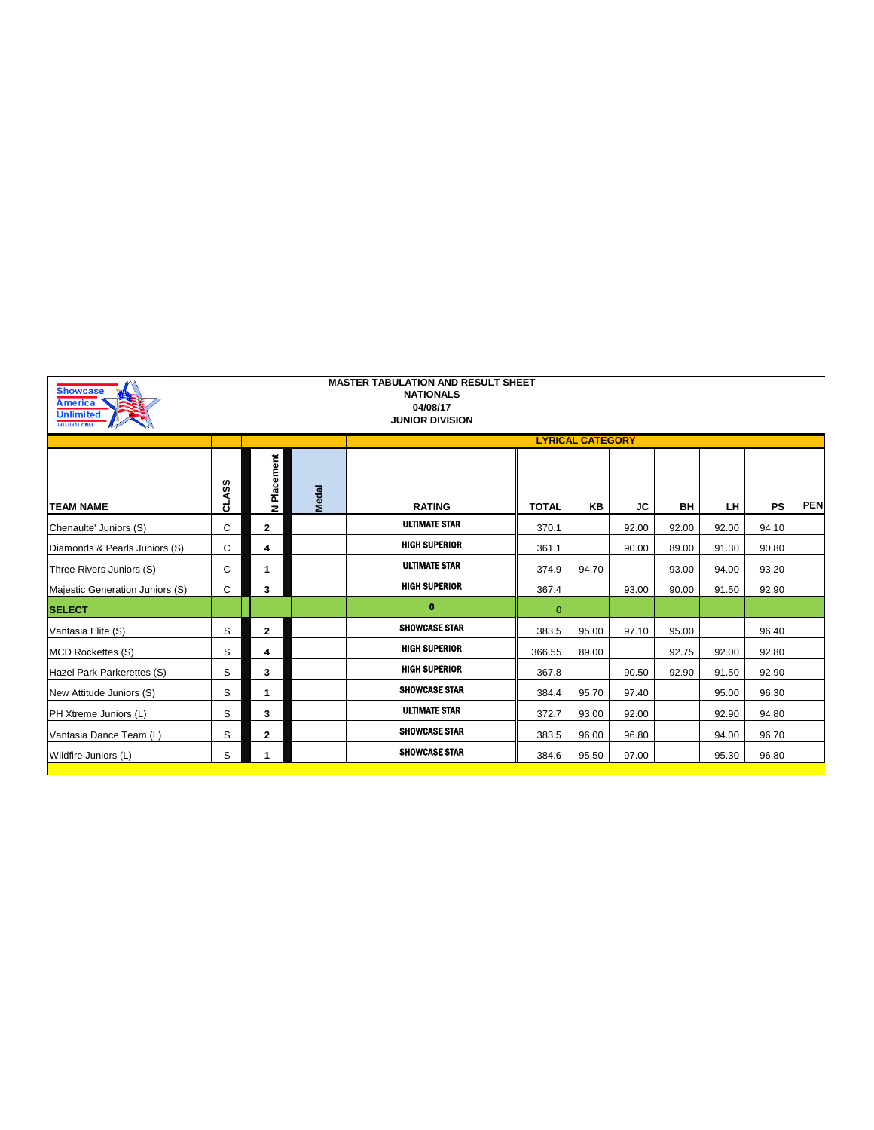| <b>Unlimited</b><br><b>INTERNATIONAL</b> |              |              |       | <b>NATIONALS</b><br>04/08/17<br><b>JUNIOR DIVISION</b> |              |                         |           |       |       |           |            |
|------------------------------------------|--------------|--------------|-------|--------------------------------------------------------|--------------|-------------------------|-----------|-------|-------|-----------|------------|
|                                          |              |              |       |                                                        |              | <b>LYRICAL CATEGORY</b> |           |       |       |           |            |
| <b>TEAM NAME</b>                         | <b>CLASS</b> | N Placement  | Medal | <b>RATING</b>                                          | <b>TOTAL</b> | <b>KB</b>               | <b>JC</b> | BH    | LH.   | <b>PS</b> | <b>PEN</b> |
| Chenaulte' Juniors (S)                   | C            | $\mathbf{2}$ |       | <b>ULTIMATE STAR</b>                                   | 370.1        |                         | 92.00     | 92.00 | 92.00 | 94.10     |            |
| Diamonds & Pearls Juniors (S)            | C            | 4            |       | <b>HIGH SUPERIOR</b>                                   | 361.1        |                         | 90.00     | 89.00 | 91.30 | 90.80     |            |
| Three Rivers Juniors (S)                 | C            | 1            |       | <b>ULTIMATE STAR</b>                                   | 374.9        | 94.70                   |           | 93.00 | 94.00 | 93.20     |            |
| Majestic Generation Juniors (S)          | C            | 3            |       | <b>HIGH SUPERIOR</b>                                   | 367.4        |                         | 93.00     | 90.00 | 91.50 | 92.90     |            |
| <b>SELECT</b>                            |              |              |       | $\mathbf{0}$                                           |              |                         |           |       |       |           |            |
| Vantasia Elite (S)                       | S            | $\mathbf{2}$ |       | <b>SHOWCASE STAR</b>                                   | 383.5        | 95.00                   | 97.10     | 95.00 |       | 96.40     |            |
| <b>MCD Rockettes (S)</b>                 | S            | 4            |       | <b>HIGH SUPERIOR</b>                                   | 366.55       | 89.00                   |           | 92.75 | 92.00 | 92.80     |            |
| Hazel Park Parkerettes (S)               | S            | 3            |       | <b>HIGH SUPERIOR</b>                                   | 367.8        |                         | 90.50     | 92.90 | 91.50 | 92.90     |            |
| New Attitude Juniors (S)                 | S            | 1            |       | <b>SHOWCASE STAR</b>                                   | 384.4        | 95.70                   | 97.40     |       | 95.00 | 96.30     |            |
| PH Xtreme Juniors (L)                    | S            | 3            |       | <b>ULTIMATE STAR</b>                                   | 372.7        | 93.00                   | 92.00     |       | 92.90 | 94.80     |            |
| Vantasia Dance Team (L)                  | S            | $\mathbf{2}$ |       | <b>SHOWCASE STAR</b>                                   | 383.5        | 96.00                   | 96.80     |       | 94.00 | 96.70     |            |
| Wildfire Juniors (L)                     | S            |              |       | <b>SHOWCASE STAR</b>                                   | 384.6        | 95.50                   | 97.00     |       | 95.30 | 96.80     |            |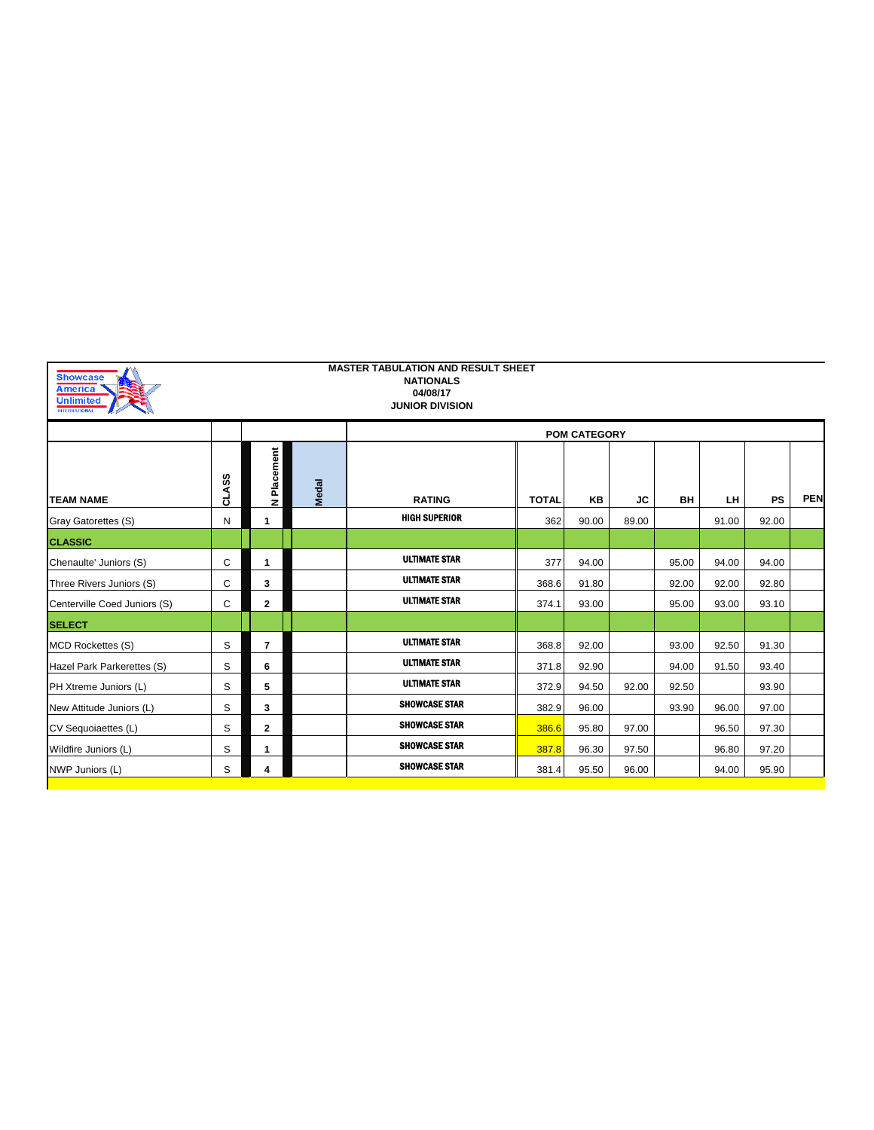| <b>Showcase</b><br><b>America</b><br><b>Unlimited</b><br><b>INTERNATIONAL</b> |              |                |              | <b>MASTER TABULATION AND RESULT SHEET</b><br><b>NATIONALS</b><br>04/08/17<br><b>JUNIOR DIVISION</b> |              |                     |       |       |       |           |            |
|-------------------------------------------------------------------------------|--------------|----------------|--------------|-----------------------------------------------------------------------------------------------------|--------------|---------------------|-------|-------|-------|-----------|------------|
|                                                                               |              |                |              |                                                                                                     |              | <b>POM CATEGORY</b> |       |       |       |           |            |
| <b>TEAM NAME</b>                                                              | <b>CLASS</b> | N Placement    | <b>Medal</b> | <b>RATING</b>                                                                                       | <b>TOTAL</b> | <b>KB</b>           | JС    | BH    | LH.   | <b>PS</b> | <b>PEN</b> |
| Gray Gatorettes (S)                                                           | N            | 1              |              | <b>HIGH SUPERIOR</b>                                                                                | 362          | 90.00               | 89.00 |       | 91.00 | 92.00     |            |
| <b>CLASSIC</b>                                                                |              |                |              |                                                                                                     |              |                     |       |       |       |           |            |
| Chenaulte' Juniors (S)                                                        | C            | $\mathbf{1}$   |              | <b>ULTIMATE STAR</b>                                                                                | 377          | 94.00               |       | 95.00 | 94.00 | 94.00     |            |
| Three Rivers Juniors (S)                                                      | С            | 3              |              | <b>ULTIMATE STAR</b>                                                                                | 368.6        | 91.80               |       | 92.00 | 92.00 | 92.80     |            |
| Centerville Coed Juniors (S)                                                  | C            | $\mathbf{2}$   |              | <b>ULTIMATE STAR</b>                                                                                | 374.1        | 93.00               |       | 95.00 | 93.00 | 93.10     |            |
| <b>SELECT</b>                                                                 |              |                |              |                                                                                                     |              |                     |       |       |       |           |            |
| <b>MCD Rockettes (S)</b>                                                      | S            | $\overline{7}$ |              | <b>ULTIMATE STAR</b>                                                                                | 368.8        | 92.00               |       | 93.00 | 92.50 | 91.30     |            |
| Hazel Park Parkerettes (S)                                                    | S            | 6              |              | <b>ULTIMATE STAR</b>                                                                                | 371.8        | 92.90               |       | 94.00 | 91.50 | 93.40     |            |
| PH Xtreme Juniors (L)                                                         | S            | 5              |              | <b>ULTIMATE STAR</b>                                                                                | 372.9        | 94.50               | 92.00 | 92.50 |       | 93.90     |            |
| New Attitude Juniors (L)                                                      | S            | 3              |              | <b>SHOWCASE STAR</b>                                                                                | 382.9        | 96.00               |       | 93.90 | 96.00 | 97.00     |            |
| CV Sequoiaettes (L)                                                           | S            | $\mathbf{2}$   |              | <b>SHOWCASE STAR</b>                                                                                | 386.6        | 95.80               | 97.00 |       | 96.50 | 97.30     |            |
| Wildfire Juniors (L)                                                          | S            | $\mathbf{1}$   |              | <b>SHOWCASE STAR</b>                                                                                | 387.8        | 96.30               | 97.50 |       | 96.80 | 97.20     |            |
| NWP Juniors (L)                                                               | S            | 4              |              | <b>SHOWCASE STAR</b>                                                                                | 381.4        | 95.50               | 96.00 |       | 94.00 | 95.90     |            |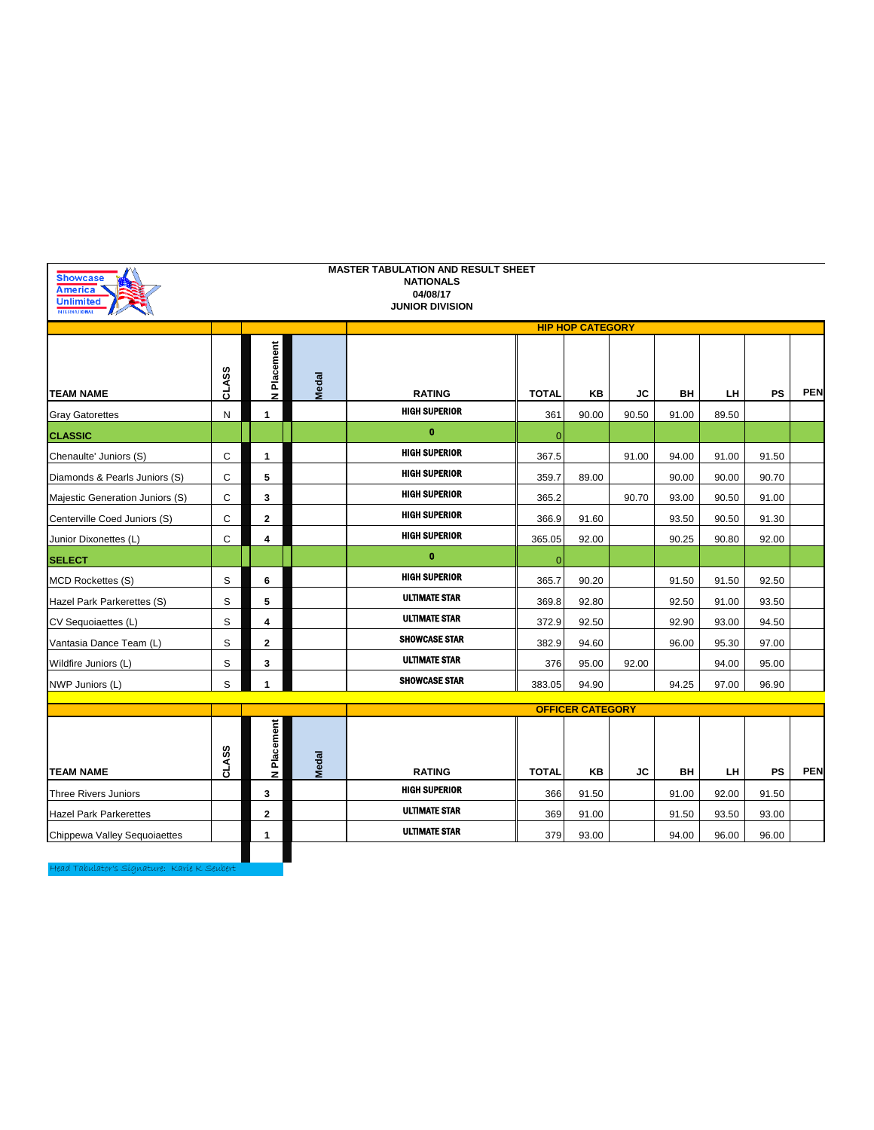| <b>Showcase</b><br>America<br><b>Unlimited</b> |              |              |              | <b>MASTER TABULATION AND RESULT SHEET</b><br><b>NATIONALS</b><br>04/08/17<br><b>JUNIOR DIVISION</b> |              |                         |       |       |       |           |            |
|------------------------------------------------|--------------|--------------|--------------|-----------------------------------------------------------------------------------------------------|--------------|-------------------------|-------|-------|-------|-----------|------------|
|                                                |              |              |              |                                                                                                     |              | <b>HIP HOP CATEGORY</b> |       |       |       |           |            |
| <b>TEAM NAME</b>                               | <b>CLASS</b> | N Placement  | <b>Medal</b> | <b>RATING</b>                                                                                       | <b>TOTAL</b> | KΒ                      | JC    | BH    | LH    | <b>PS</b> | <b>PEN</b> |
| <b>Gray Gatorettes</b>                         | N            | $\mathbf{1}$ |              | <b>HIGH SUPERIOR</b>                                                                                | 361          | 90.00                   | 90.50 | 91.00 | 89.50 |           |            |
| <b>CLASSIC</b>                                 |              |              |              | $\bf{0}$                                                                                            | $\Omega$     |                         |       |       |       |           |            |
| Chenaulte' Juniors (S)                         | С            | $\mathbf{1}$ |              | <b>HIGH SUPERIOR</b>                                                                                | 367.5        |                         | 91.00 | 94.00 | 91.00 | 91.50     |            |
| Diamonds & Pearls Juniors (S)                  | C            | 5            |              | <b>HIGH SUPERIOR</b>                                                                                | 359.7        | 89.00                   |       | 90.00 | 90.00 | 90.70     |            |
| Majestic Generation Juniors (S)                | C            | 3            |              | <b>HIGH SUPERIOR</b>                                                                                | 365.2        |                         | 90.70 | 93.00 | 90.50 | 91.00     |            |
| Centerville Coed Juniors (S)                   | C            | $\mathbf{2}$ |              | <b>HIGH SUPERIOR</b>                                                                                | 366.9        | 91.60                   |       | 93.50 | 90.50 | 91.30     |            |
| Junior Dixonettes (L)                          | С            | 4            |              | <b>HIGH SUPERIOR</b>                                                                                | 365.05       | 92.00                   |       | 90.25 | 90.80 | 92.00     |            |
| <b>SELECT</b>                                  |              |              |              | $\mathbf 0$                                                                                         | $\mathbf{0}$ |                         |       |       |       |           |            |
| <b>MCD Rockettes (S)</b>                       | S            | 6            |              | <b>HIGH SUPERIOR</b>                                                                                | 365.7        | 90.20                   |       | 91.50 | 91.50 | 92.50     |            |
| Hazel Park Parkerettes (S)                     | S            | 5            |              | <b>ULTIMATE STAR</b>                                                                                | 369.8        | 92.80                   |       | 92.50 | 91.00 | 93.50     |            |
| CV Sequoiaettes (L)                            | S            | 4            |              | <b>ULTIMATE STAR</b>                                                                                | 372.9        | 92.50                   |       | 92.90 | 93.00 | 94.50     |            |
| Vantasia Dance Team (L)                        | S            | $\mathbf{2}$ |              | SHOWCASE STAR                                                                                       | 382.9        | 94.60                   |       | 96.00 | 95.30 | 97.00     |            |
| Wildfire Juniors (L)                           | S            | 3            |              | <b>ULTIMATE STAR</b>                                                                                | 376          | 95.00                   | 92.00 |       | 94.00 | 95.00     |            |
| NWP Juniors (L)                                | S            | 1            |              | <b>SHOWCASE STAR</b>                                                                                | 383.05       | 94.90                   |       | 94.25 | 97.00 | 96.90     |            |
|                                                |              |              |              |                                                                                                     |              | <b>OFFICER CATEGORY</b> |       |       |       |           |            |
| <b>TEAM NAME</b>                               | <b>CLASS</b> | N Placement  | <b>Medal</b> | <b>RATING</b>                                                                                       | <b>TOTAL</b> | KB                      | JС    | BH    | LH.   | PS        | <b>PEN</b> |
| <b>Three Rivers Juniors</b>                    |              | 3            |              | <b>HIGH SUPERIOR</b>                                                                                | 366          | 91.50                   |       | 91.00 | 92.00 | 91.50     |            |
| <b>Hazel Park Parkerettes</b>                  |              | $\mathbf{2}$ |              | <b>ULTIMATE STAR</b>                                                                                | 369          | 91.00                   |       | 91.50 | 93.50 | 93.00     |            |
| Chippewa Valley Sequoiaettes                   |              | 1            |              | <b>ULTIMATE STAR</b>                                                                                | 379          | 93.00                   |       | 94.00 | 96.00 | 96.00     |            |
|                                                |              |              |              |                                                                                                     |              |                         |       |       |       |           |            |
| Head Tabulator's Signature: Karie K. Seubert   |              |              |              |                                                                                                     |              |                         |       |       |       |           |            |

Head Tabulator's Signature: Karie K Seubert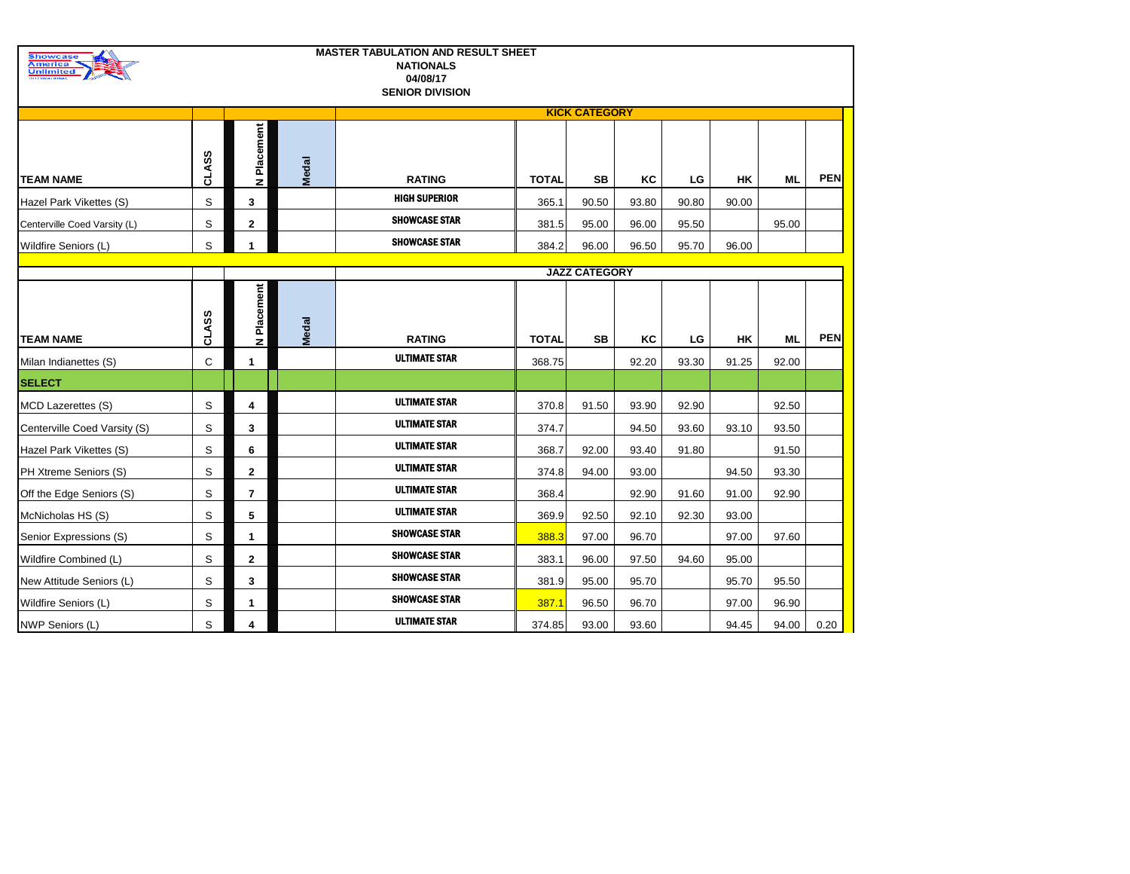| <b>Showcase</b><br><b>America</b><br><b>Unlimited</b> |       |                |              | <b>MASTER TABULATION AND RESULT SHEET</b><br><b>NATIONALS</b><br>04/08/17<br><b>SENIOR DIVISION</b> |              |                      |       |       |       |           |            |
|-------------------------------------------------------|-------|----------------|--------------|-----------------------------------------------------------------------------------------------------|--------------|----------------------|-------|-------|-------|-----------|------------|
|                                                       |       |                |              |                                                                                                     |              | <b>KICK CATEGORY</b> |       |       |       |           |            |
| <b>TEAM NAME</b>                                      | CLASS | Placement<br>z | <b>Medal</b> | <b>RATING</b>                                                                                       | <b>TOTAL</b> | SВ                   | ΚC    | LG    | HK    | <b>ML</b> | <b>PEN</b> |
| Hazel Park Vikettes (S)                               | S     | 3              |              | <b>HIGH SUPERIOR</b>                                                                                | 365.1        | 90.50                | 93.80 | 90.80 | 90.00 |           |            |
| Centerville Coed Varsity (L)                          | S     | $\mathbf 2$    |              | <b>SHOWCASE STAR</b>                                                                                | 381.5        | 95.00                | 96.00 | 95.50 |       | 95.00     |            |
| Wildfire Seniors (L)                                  | S     | 1              |              | <b>SHOWCASE STAR</b>                                                                                | 384.2        | 96.00                | 96.50 | 95.70 | 96.00 |           |            |
|                                                       |       |                |              |                                                                                                     |              | <b>JAZZ CATEGORY</b> |       |       |       |           |            |
|                                                       |       |                |              |                                                                                                     |              |                      |       |       |       |           |            |
| <b>TEAM NAME</b>                                      | CLASS | N Placement    | <b>Medal</b> | <b>RATING</b>                                                                                       | <b>TOTAL</b> | SВ                   | ΚC    | LG    | HK    | ML        | <b>PEN</b> |
| Milan Indianettes (S)                                 | C     | 1              |              | <b>ULTIMATE STAR</b>                                                                                | 368.75       |                      | 92.20 | 93.30 | 91.25 | 92.00     |            |
| <b>SELECT</b>                                         |       |                |              |                                                                                                     |              |                      |       |       |       |           |            |
| <b>MCD Lazerettes (S)</b>                             | S     | 4              |              | <b>ULTIMATE STAR</b>                                                                                | 370.8        | 91.50                | 93.90 | 92.90 |       | 92.50     |            |
| Centerville Coed Varsity (S)                          | S     | 3              |              | <b>ULTIMATE STAR</b>                                                                                | 374.7        |                      | 94.50 | 93.60 | 93.10 | 93.50     |            |
| Hazel Park Vikettes (S)                               | S     | 6              |              | <b>ULTIMATE STAR</b>                                                                                | 368.7        | 92.00                | 93.40 | 91.80 |       | 91.50     |            |
| PH Xtreme Seniors (S)                                 | S     | 2              |              | <b>ULTIMATE STAR</b>                                                                                | 374.8        | 94.00                | 93.00 |       | 94.50 | 93.30     |            |
| Off the Edge Seniors (S)                              | S     | $\overline{7}$ |              | <b>ULTIMATE STAR</b>                                                                                | 368.4        |                      | 92.90 | 91.60 | 91.00 | 92.90     |            |
| McNicholas HS (S)                                     | S     | 5              |              | <b>ULTIMATE STAR</b>                                                                                | 369.9        | 92.50                | 92.10 | 92.30 | 93.00 |           |            |
| Senior Expressions (S)                                | S     | 1              |              | <b>SHOWCASE STAR</b>                                                                                | 388.3        | 97.00                | 96.70 |       | 97.00 | 97.60     |            |
| Wildfire Combined (L)                                 | S     | $\mathbf 2$    |              | <b>SHOWCASE STAR</b>                                                                                | 383.1        | 96.00                | 97.50 | 94.60 | 95.00 |           |            |
| New Attitude Seniors (L)                              | S     | 3              |              | <b>SHOWCASE STAR</b>                                                                                | 381.9        | 95.00                | 95.70 |       | 95.70 | 95.50     |            |
| Wildfire Seniors (L)                                  | S     | 1              |              | <b>SHOWCASE STAR</b>                                                                                | 387.1        | 96.50                | 96.70 |       | 97.00 | 96.90     |            |
| NWP Seniors (L)                                       | S     | 4              |              | <b>ULTIMATE STAR</b>                                                                                | 374.85       | 93.00                | 93.60 |       | 94.45 | 94.00     | 0.20       |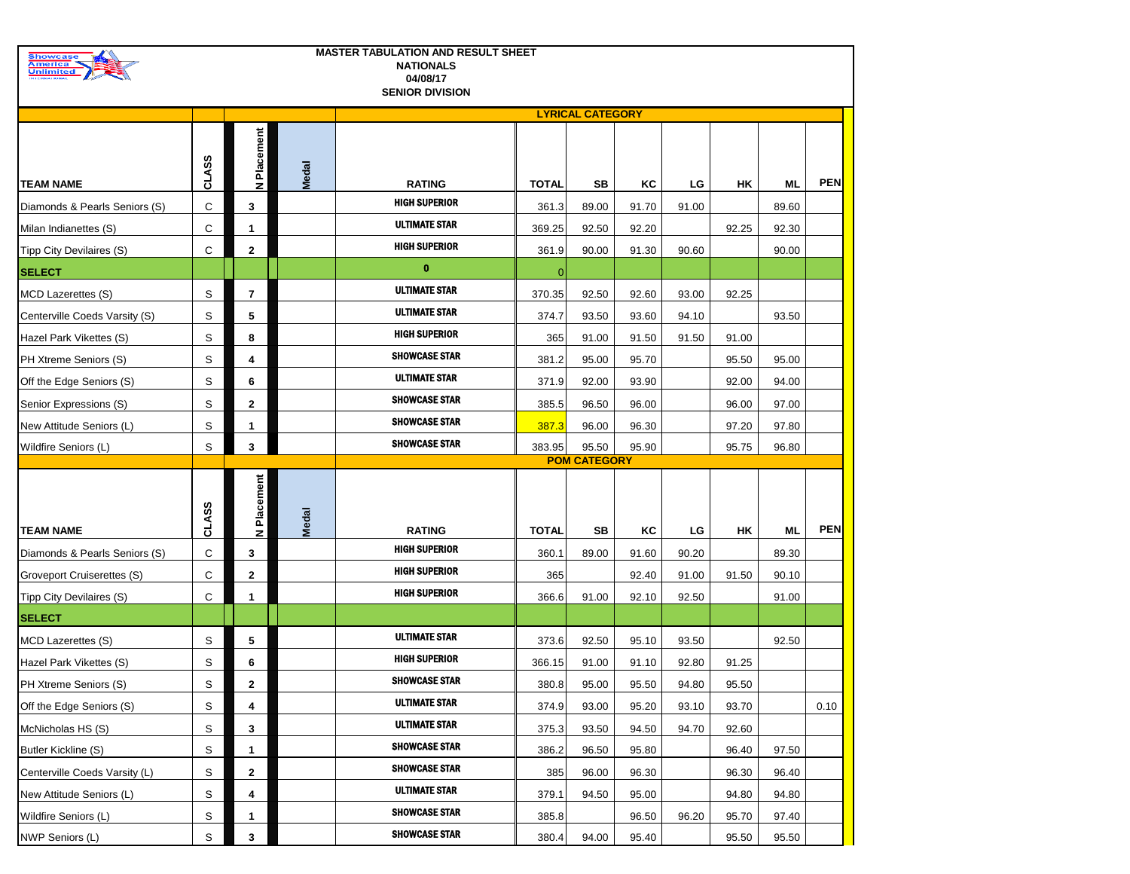| Showcase<br><u>America</u>                                  |                   |                          |              | <b>MASTER TABULATION AND RESULT SHEET</b><br><b>NATIONALS</b> |                |                         |                |                |                |       |            |
|-------------------------------------------------------------|-------------------|--------------------------|--------------|---------------------------------------------------------------|----------------|-------------------------|----------------|----------------|----------------|-------|------------|
| <b>Unlimited</b>                                            |                   |                          |              | 04/08/17<br><b>SENIOR DIVISION</b>                            |                |                         |                |                |                |       |            |
|                                                             |                   |                          |              |                                                               |                | <b>LYRICAL CATEGORY</b> |                |                |                |       |            |
|                                                             |                   |                          |              |                                                               |                |                         |                |                |                |       |            |
|                                                             |                   | Placement                |              |                                                               |                |                         |                |                |                |       |            |
|                                                             | <b>CLASS</b>      |                          | <b>Medal</b> |                                                               |                |                         |                |                |                |       |            |
| <b>TEAM NAME</b>                                            |                   | z                        |              | <b>RATING</b>                                                 | <b>TOTAL</b>   | SВ                      | ΚC             | LG             | HΚ             | ML    | <b>PEN</b> |
| Diamonds & Pearls Seniors (S)                               | С                 | 3                        |              | <b>HIGH SUPERIOR</b>                                          | 361.3          | 89.00                   | 91.70          | 91.00          |                | 89.60 |            |
| Milan Indianettes (S)                                       | С                 | 1                        |              | <b>ULTIMATE STAR</b>                                          | 369.25         | 92.50                   | 92.20          |                | 92.25          | 92.30 |            |
| Tipp City Devilaires (S)                                    | С                 | $\mathbf{2}$             |              | <b>HIGH SUPERIOR</b>                                          | 361.9          | 90.00                   | 91.30          | 90.60          |                | 90.00 |            |
| <b>SELECT</b>                                               |                   |                          |              | $\bf{0}$                                                      | $\Omega$       |                         |                |                |                |       |            |
| <b>MCD Lazerettes (S)</b>                                   | S                 | $\overline{\phantom{a}}$ |              | <b>ULTIMATE STAR</b>                                          | 370.35         | 92.50                   | 92.60          | 93.00          | 92.25          |       |            |
| Centerville Coeds Varsity (S)                               | S                 | 5                        |              | <b>ULTIMATE STAR</b>                                          | 374.7          | 93.50                   | 93.60          | 94.10          |                | 93.50 |            |
| Hazel Park Vikettes (S)                                     | S                 | 8                        |              | <b>HIGH SUPERIOR</b>                                          | 365            | 91.00                   | 91.50          | 91.50          | 91.00          |       |            |
| PH Xtreme Seniors (S)                                       | S                 | 4                        |              | <b>SHOWCASE STAR</b>                                          | 381.2          | 95.00                   | 95.70          |                | 95.50          | 95.00 |            |
| Off the Edge Seniors (S)                                    | S                 | 6                        |              | <b>ULTIMATE STAR</b>                                          | 371.9          | 92.00                   | 93.90          |                | 92.00          | 94.00 |            |
| Senior Expressions (S)                                      | S                 | $\mathbf{2}$             |              | <b>SHOWCASE STAR</b>                                          | 385.5          | 96.50                   | 96.00          |                | 96.00          | 97.00 |            |
| New Attitude Seniors (L)                                    | S                 | 1                        |              | <b>SHOWCASE STAR</b>                                          | 387.3          | 96.00                   | 96.30          |                | 97.20          | 97.80 |            |
| Wildfire Seniors (L)                                        | S                 | 3                        |              | <b>SHOWCASE STAR</b>                                          |                |                         |                |                |                | 96.80 |            |
|                                                             |                   |                          |              |                                                               | 383.95         | 95.50                   | 95.90          |                | 95.75          |       |            |
|                                                             |                   |                          |              |                                                               |                | <b>POM CATEGORY</b>     |                |                |                |       |            |
|                                                             |                   |                          |              |                                                               |                |                         |                |                |                |       |            |
|                                                             |                   |                          |              |                                                               |                |                         |                |                |                |       |            |
| <b>TEAM NAME</b>                                            |                   | N Placement              |              | <b>RATING</b>                                                 | <b>TOTAL</b>   | SB                      | ΚC             | LG             | HΚ             | ML    | <b>PEN</b> |
| Diamonds & Pearls Seniors (S)                               | <b>CLASS</b><br>С | 3                        | <b>Medal</b> | <b>HIGH SUPERIOR</b>                                          | 360.1          | 89.00                   | 91.60          | 90.20          |                | 89.30 |            |
| Groveport Cruiserettes (S)                                  | С                 | $\mathbf{2}$             |              | <b>HIGH SUPERIOR</b>                                          | 365            |                         | 92.40          | 91.00          | 91.50          | 90.10 |            |
| Tipp City Devilaires (S)                                    | С                 | 1                        |              | <b>HIGH SUPERIOR</b>                                          | 366.6          | 91.00                   | 92.10          | 92.50          |                | 91.00 |            |
| <b>SELECT</b>                                               |                   |                          |              |                                                               |                |                         |                |                |                |       |            |
|                                                             | S                 | 5                        |              | <b>ULTIMATE STAR</b>                                          | 373.6          | 92.50                   | 95.10          | 93.50          |                | 92.50 |            |
| MCD Lazerettes (S)<br>Hazel Park Vikettes (S)               | S                 | 6                        |              | <b>HIGH SUPERIOR</b>                                          | 366.15         | 91.00                   | 91.10          | 92.80          | 91.25          |       |            |
|                                                             |                   |                          |              | <b>SHOWCASE STAR</b>                                          |                |                         |                |                |                |       |            |
| PH Xtreme Seniors (S)<br>Off the Edge Seniors (S)           | S                 | 2<br>4                   |              | <b>ULTIMATE STAR</b>                                          | 380.8<br>374.9 | 95.00<br>93.00          | 95.50<br>95.20 | 94.80<br>93.10 | 95.50<br>93.70 |       |            |
| McNicholas HS (S)                                           | S<br>S            | 3                        |              | <b>ULTIMATE STAR</b>                                          | 375.3          | 93.50                   | 94.50          | 94.70          | 92.60          |       | 0.10       |
|                                                             | S                 | 1                        |              | <b>SHOWCASE STAR</b>                                          | 386.2          | 96.50                   | 95.80          |                | 96.40          | 97.50 |            |
| <b>Butler Kickline (S)</b><br>Centerville Coeds Varsity (L) | S                 | $\mathbf{2}$             |              | <b>SHOWCASE STAR</b>                                          | 385            | 96.00                   | 96.30          |                | 96.30          | 96.40 |            |
| New Attitude Seniors (L)                                    | S                 | 4                        |              | <b>ULTIMATE STAR</b>                                          | 379.1          | 94.50                   | 95.00          |                | 94.80          | 94.80 |            |
| Wildfire Seniors (L)                                        | S                 | 1                        |              | <b>SHOWCASE STAR</b>                                          | 385.8          |                         | 96.50          | 96.20          | 95.70          | 97.40 |            |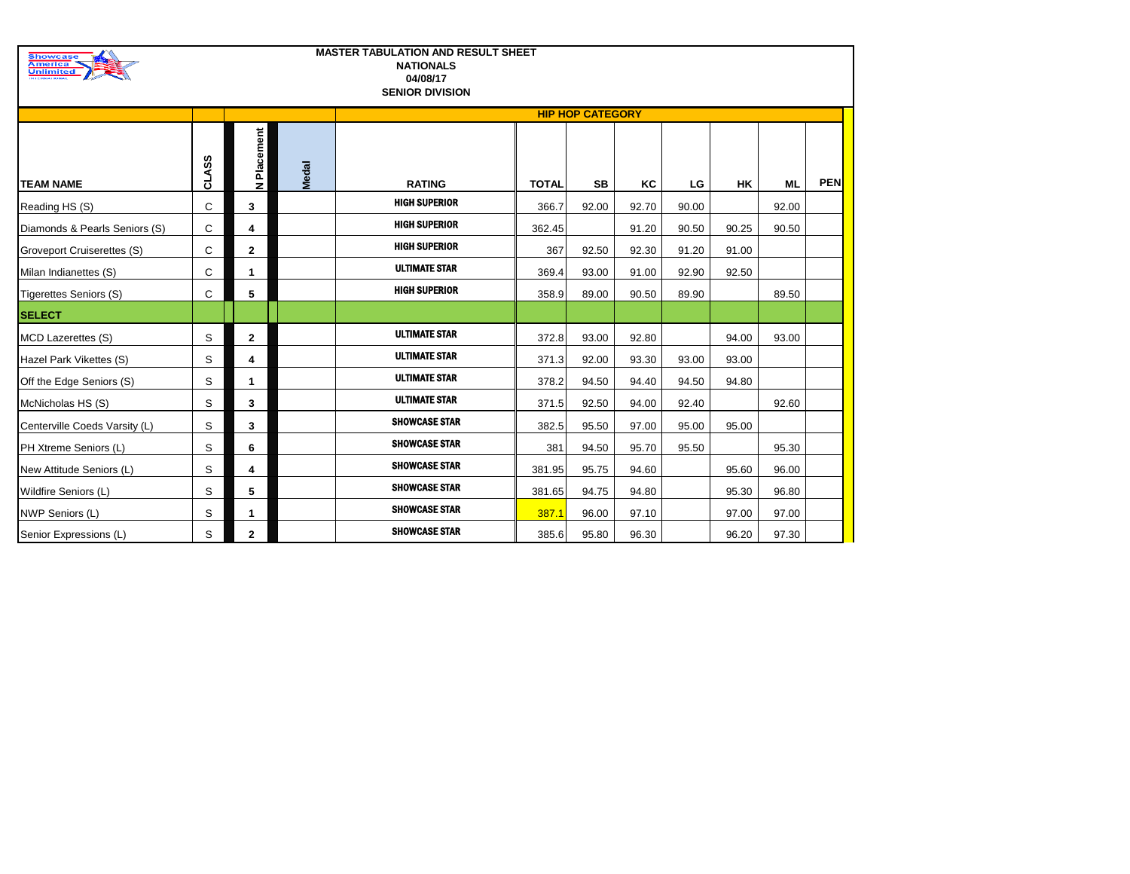| <b>Showcase</b><br>America<br>Unlimited<br><b>BETH HIS AT ITY NA</b> |              |                |              | <b>MASTER TABULATION AND RESULT SHEET</b><br><b>NATIONALS</b><br>04/08/17<br><b>SENIOR DIVISION</b> |              |                         |       |       |           |           |            |
|----------------------------------------------------------------------|--------------|----------------|--------------|-----------------------------------------------------------------------------------------------------|--------------|-------------------------|-------|-------|-----------|-----------|------------|
|                                                                      |              |                |              |                                                                                                     |              | <b>HIP HOP CATEGORY</b> |       |       |           |           |            |
| <b>TEAM NAME</b>                                                     | <b>CLASS</b> | N Placement    | <b>Medal</b> | <b>RATING</b>                                                                                       | <b>TOTAL</b> | <b>SB</b>               | KC    | LG    | <b>HK</b> | <b>ML</b> | <b>PEN</b> |
| Reading HS (S)                                                       | C            | 3              |              | <b>HIGH SUPERIOR</b>                                                                                | 366.7        | 92.00                   | 92.70 | 90.00 |           | 92.00     |            |
| Diamonds & Pearls Seniors (S)                                        | C            | 4              |              | <b>HIGH SUPERIOR</b>                                                                                | 362.45       |                         | 91.20 | 90.50 | 90.25     | 90.50     |            |
| Groveport Cruiserettes (S)                                           | C            | $\mathbf{2}$   |              | <b>HIGH SUPERIOR</b>                                                                                | 367          | 92.50                   | 92.30 | 91.20 | 91.00     |           |            |
| Milan Indianettes (S)                                                | С            | $\mathbf{1}$   |              | <b>ULTIMATE STAR</b>                                                                                | 369.4        | 93.00                   | 91.00 | 92.90 | 92.50     |           |            |
| <b>Tigerettes Seniors (S)</b>                                        | C            | 5              |              | <b>HIGH SUPERIOR</b>                                                                                | 358.9        | 89.00                   | 90.50 | 89.90 |           | 89.50     |            |
| <b>SELECT</b>                                                        |              |                |              |                                                                                                     |              |                         |       |       |           |           |            |
| MCD Lazerettes (S)                                                   | S            | $\mathbf{2}$   |              | <b>ULTIMATE STAR</b>                                                                                | 372.8        | 93.00                   | 92.80 |       | 94.00     | 93.00     |            |
| Hazel Park Vikettes (S)                                              | S            | 4              |              | <b>ULTIMATE STAR</b>                                                                                | 371.3        | 92.00                   | 93.30 | 93.00 | 93.00     |           |            |
| Off the Edge Seniors (S)                                             | S            | 1              |              | <b>ULTIMATE STAR</b>                                                                                | 378.2        | 94.50                   | 94.40 | 94.50 | 94.80     |           |            |
| McNicholas HS (S)                                                    | S            | 3              |              | <b>ULTIMATE STAR</b>                                                                                | 371.5        | 92.50                   | 94.00 | 92.40 |           | 92.60     |            |
| Centerville Coeds Varsity (L)                                        | S            | 3              |              | <b>SHOWCASE STAR</b>                                                                                | 382.5        | 95.50                   | 97.00 | 95.00 | 95.00     |           |            |
| PH Xtreme Seniors (L)                                                | S            | 6              |              | <b>SHOWCASE STAR</b>                                                                                | 381          | 94.50                   | 95.70 | 95.50 |           | 95.30     |            |
| New Attitude Seniors (L)                                             | S            | 4              |              | <b>SHOWCASE STAR</b>                                                                                | 381.95       | 95.75                   | 94.60 |       | 95.60     | 96.00     |            |
| Wildfire Seniors (L)                                                 | S            | 5              |              | <b>SHOWCASE STAR</b>                                                                                | 381.65       | 94.75                   | 94.80 |       | 95.30     | 96.80     |            |
| NWP Seniors (L)                                                      | S            | 1              |              | <b>SHOWCASE STAR</b>                                                                                | 387.1        | 96.00                   | 97.10 |       | 97.00     | 97.00     |            |
| Senior Expressions (L)                                               | S            | $\overline{2}$ |              | <b>SHOWCASE STAR</b>                                                                                | 385.6        | 95.80                   | 96.30 |       | 96.20     | 97.30     |            |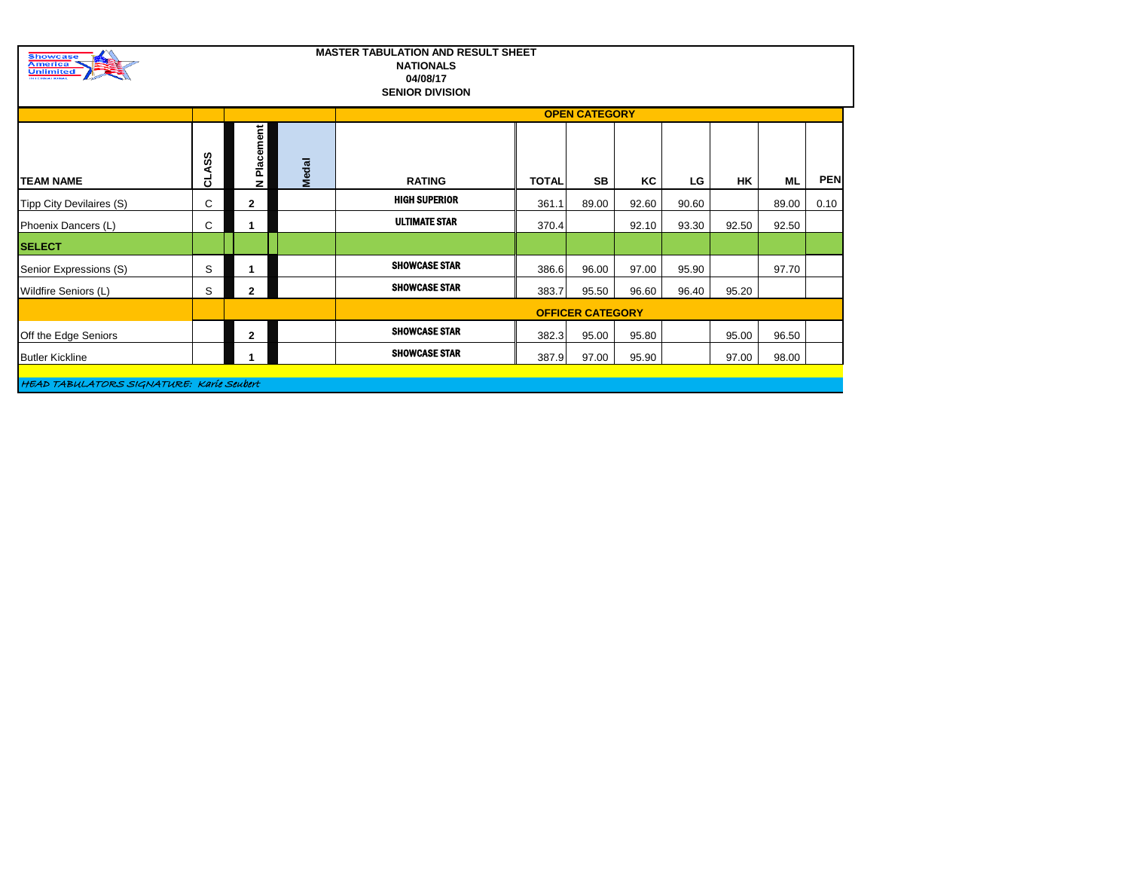| <b>Showcase</b><br><b>America</b><br><b>Unlimited</b><br><b><i><u>RIERRATIONAL</u></i></b> |                |              |              | <b>MASTER TABULATION AND RESULT SHEET</b><br><b>NATIONALS</b><br>04/08/17<br><b>SENIOR DIVISION</b> |              |                         |       |       |       |       |            |
|--------------------------------------------------------------------------------------------|----------------|--------------|--------------|-----------------------------------------------------------------------------------------------------|--------------|-------------------------|-------|-------|-------|-------|------------|
|                                                                                            |                |              |              |                                                                                                     |              | <b>OPEN CATEGORY</b>    |       |       |       |       |            |
| <b>TEAM NAME</b>                                                                           | တ္တ<br>⋖<br>ਰੋ | N Placement  | <b>Medal</b> | <b>RATING</b>                                                                                       | <b>TOTAL</b> | SB                      | ΚC    | LG    | НK    | ML    | <b>PEN</b> |
| Tipp City Devilaires (S)                                                                   | C              | $\mathbf{2}$ |              | <b>HIGH SUPERIOR</b>                                                                                | 361.1        | 89.00                   | 92.60 | 90.60 |       | 89.00 | 0.10       |
| Phoenix Dancers (L)                                                                        | C              |              |              | <b>ULTIMATE STAR</b>                                                                                | 370.4        |                         | 92.10 | 93.30 | 92.50 | 92.50 |            |
| <b>SELECT</b>                                                                              |                |              |              |                                                                                                     |              |                         |       |       |       |       |            |
| Senior Expressions (S)                                                                     | S              |              |              | <b>SHOWCASE STAR</b>                                                                                | 386.6        | 96.00                   | 97.00 | 95.90 |       | 97.70 |            |
| Wildfire Seniors (L)                                                                       | S              | $\mathbf{2}$ |              | <b>SHOWCASE STAR</b>                                                                                | 383.7        | 95.50                   | 96.60 | 96.40 | 95.20 |       |            |
|                                                                                            |                |              |              |                                                                                                     |              | <b>OFFICER CATEGORY</b> |       |       |       |       |            |
| Off the Edge Seniors                                                                       |                | $\mathbf{2}$ |              | <b>SHOWCASE STAR</b>                                                                                | 382.3        | 95.00                   | 95.80 |       | 95.00 | 96.50 |            |
| <b>Butler Kickline</b>                                                                     |                |              |              | <b>SHOWCASE STAR</b>                                                                                | 387.9        | 97.00                   | 95.90 |       | 97.00 | 98.00 |            |

HEAD TABULATORS SIGNATURE: Karie Seubert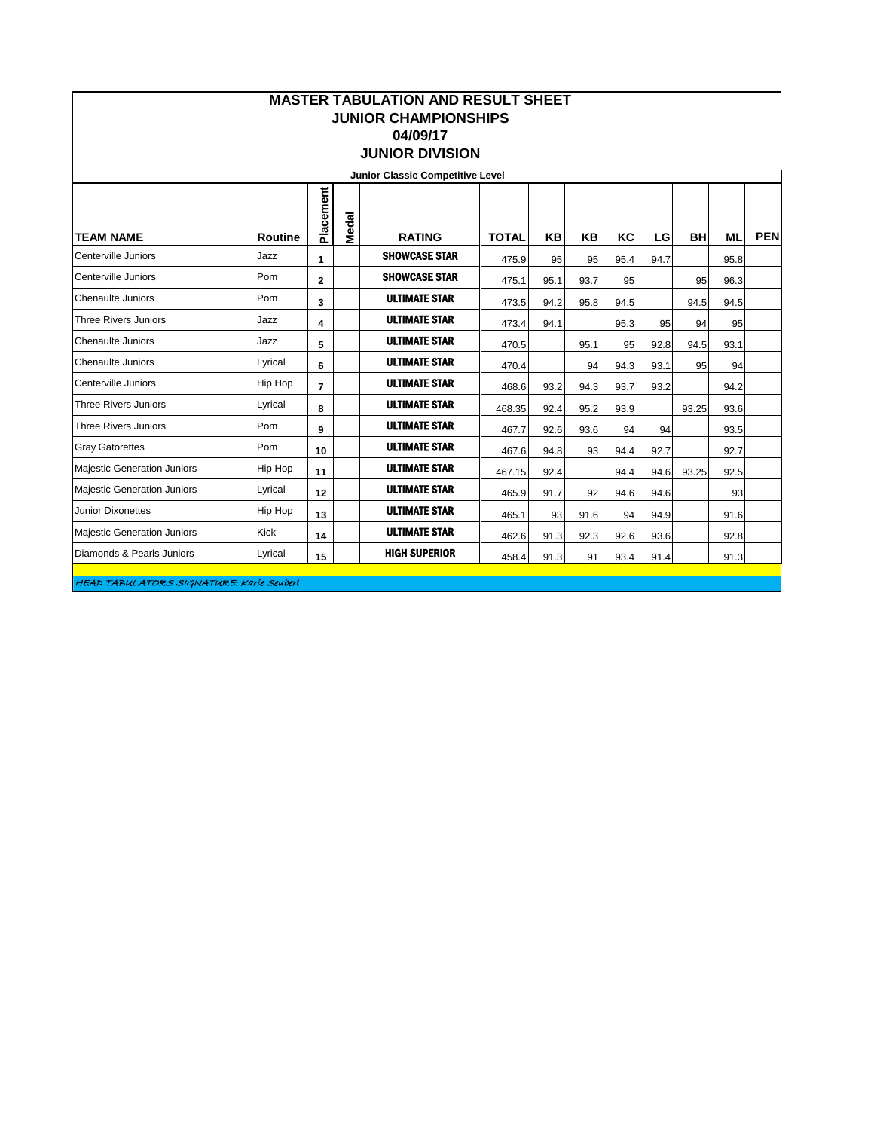|                                    |                |                |       | <b>MASTER TABULATION AND RESULT SHEET</b><br><b>JUNIOR CHAMPIONSHIPS</b><br>04/09/17<br><b>JUNIOR DIVISION</b> |              |      |      |      |      |           |           |            |
|------------------------------------|----------------|----------------|-------|----------------------------------------------------------------------------------------------------------------|--------------|------|------|------|------|-----------|-----------|------------|
|                                    |                |                |       | Junior Classic Competitive Level                                                                               |              |      |      |      |      |           |           |            |
| <b>TEAM NAME</b>                   | <b>Routine</b> | Placement      | Medal | <b>RATING</b>                                                                                                  | <b>TOTAL</b> | KB   | KB   | KC   | LG   | <b>BH</b> | <b>ML</b> | <b>PEN</b> |
| Centerville Juniors                | Jazz           | 1              |       | <b>SHOWCASE STAR</b>                                                                                           | 475.9        | 95   | 95   | 95.4 | 94.7 |           | 95.8      |            |
| Centerville Juniors                | Pom            | $\mathbf{2}$   |       | <b>SHOWCASE STAR</b>                                                                                           | 475.1        | 95.1 | 93.7 | 95   |      | 95        | 96.3      |            |
| <b>Chenaulte Juniors</b>           | Pom            | 3              |       | <b>ULTIMATE STAR</b>                                                                                           | 473.5        | 94.2 | 95.8 | 94.5 |      | 94.5      | 94.5      |            |
| Three Rivers Juniors               | Jazz           | 4              |       | <b>ULTIMATE STAR</b>                                                                                           | 473.4        | 94.1 |      | 95.3 | 95   | 94        | 95        |            |
| <b>Chenaulte Juniors</b>           | Jazz           | 5              |       | <b>ULTIMATE STAR</b>                                                                                           | 470.5        |      | 95.1 | 95   | 92.8 | 94.5      | 93.1      |            |
| <b>Chenaulte Juniors</b>           | Lyrical        | 6              |       | <b>ULTIMATE STAR</b>                                                                                           | 470.4        |      | 94   | 94.3 | 93.1 | 95        | 94        |            |
| Centerville Juniors                | <b>Hip Hop</b> | $\overline{7}$ |       | <b>ULTIMATE STAR</b>                                                                                           | 468.6        | 93.2 | 94.3 | 93.7 | 93.2 |           | 94.2      |            |
| <b>Three Rivers Juniors</b>        | Lyrical        | 8              |       | <b>ULTIMATE STAR</b>                                                                                           | 468.35       | 92.4 | 95.2 | 93.9 |      | 93.25     | 93.6      |            |
| <b>Three Rivers Juniors</b>        | Pom            | 9              |       | <b>ULTIMATE STAR</b>                                                                                           | 467.7        | 92.6 | 93.6 | 94   | 94   |           | 93.5      |            |
| <b>Gray Gatorettes</b>             | Pom            | 10             |       | <b>ULTIMATE STAR</b>                                                                                           | 467.6        | 94.8 | 93   | 94.4 | 92.7 |           | 92.7      |            |
| <b>Majestic Generation Juniors</b> | Hip Hop        | 11             |       | <b>ULTIMATE STAR</b>                                                                                           | 467.15       | 92.4 |      | 94.4 | 94.6 | 93.25     | 92.5      |            |
| <b>Majestic Generation Juniors</b> | Lyrical        | 12             |       | <b>ULTIMATE STAR</b>                                                                                           | 465.9        | 91.7 | 92   | 94.6 | 94.6 |           | 93        |            |
| <b>Junior Dixonettes</b>           | Hip Hop        | 13             |       | <b>ULTIMATE STAR</b>                                                                                           | 465.1        | 93   | 91.6 | 94   | 94.9 |           | 91.6      |            |
| Majestic Generation Juniors        | Kick           | 14             |       | <b>ULTIMATE STAR</b>                                                                                           | 462.6        | 91.3 | 92.3 | 92.6 | 93.6 |           | 92.8      |            |
| Diamonds & Pearls Juniors          | Lyrical        | 15             |       | <b>HIGH SUPERIOR</b>                                                                                           | 458.4        | 91.3 | 91   | 93.4 | 91.4 |           | 91.3      |            |
|                                    |                |                |       |                                                                                                                |              |      |      |      |      |           |           |            |

HEAD TABULATORS SIGNATURE: Karie Seubert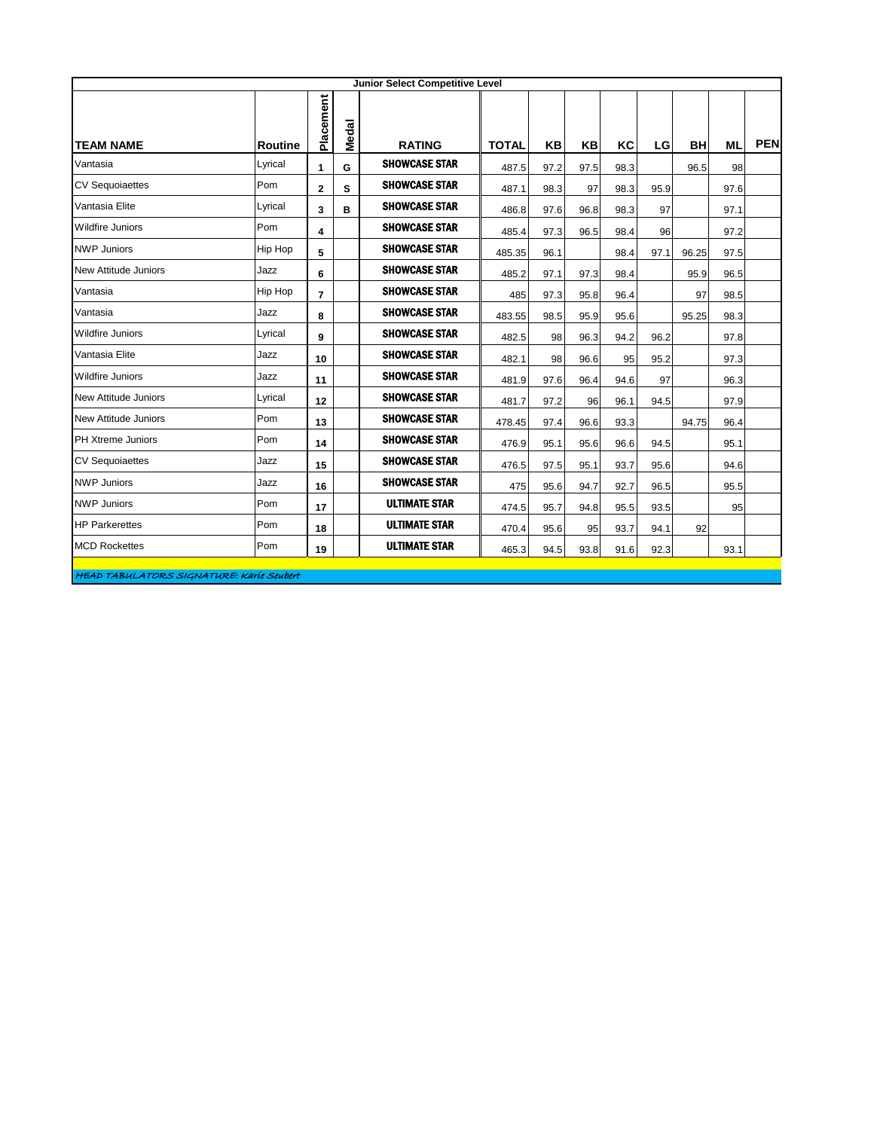| <b>Junior Select Competitive Level</b> |         |                |       |                      |              |      |      |      |      |           |           |            |
|----------------------------------------|---------|----------------|-------|----------------------|--------------|------|------|------|------|-----------|-----------|------------|
| <b>TEAM NAME</b>                       | Routine | Placement      | Medal | <b>RATING</b>        | <b>TOTAL</b> | KB   | KB   | KC   | LG   | <b>BH</b> | <b>ML</b> | <b>PEN</b> |
| Vantasia                               | Lyrical | $\mathbf{1}$   | G     | <b>SHOWCASE STAR</b> | 487.5        | 97.2 | 97.5 | 98.3 |      | 96.5      | 98        |            |
| <b>CV Sequoiaettes</b>                 | Pom     | $\mathbf{2}$   | s     | <b>SHOWCASE STAR</b> | 487.1        | 98.3 | 97   | 98.3 | 95.9 |           | 97.6      |            |
| Vantasia Elite                         | Lyrical | 3              | в     | <b>SHOWCASE STAR</b> | 486.8        | 97.6 | 96.8 | 98.3 | 97   |           | 97.1      |            |
| <b>Wildfire Juniors</b>                | Pom     | 4              |       | <b>SHOWCASE STAR</b> | 485.4        | 97.3 | 96.5 | 98.4 | 96   |           | 97.2      |            |
| <b>NWP Juniors</b>                     | Hip Hop | 5              |       | <b>SHOWCASE STAR</b> | 485.35       | 96.1 |      | 98.4 | 97.1 | 96.25     | 97.5      |            |
| New Attitude Juniors                   | Jazz    | 6              |       | <b>SHOWCASE STAR</b> | 485.2        | 97.1 | 97.3 | 98.4 |      | 95.9      | 96.5      |            |
| Vantasia                               | Hip Hop | $\overline{7}$ |       | <b>SHOWCASE STAR</b> | 485          | 97.3 | 95.8 | 96.4 |      | 97        | 98.5      |            |
| Vantasia                               | Jazz    | 8              |       | <b>SHOWCASE STAR</b> | 483.55       | 98.5 | 95.9 | 95.6 |      | 95.25     | 98.3      |            |
| <b>Wildfire Juniors</b>                | Lyrical | 9              |       | <b>SHOWCASE STAR</b> | 482.5        | 98   | 96.3 | 94.2 | 96.2 |           | 97.8      |            |
| Vantasia Elite                         | Jazz    | 10             |       | <b>SHOWCASE STAR</b> | 482.1        | 98   | 96.6 | 95   | 95.2 |           | 97.3      |            |
| <b>Wildfire Juniors</b>                | Jazz    | 11             |       | <b>SHOWCASE STAR</b> | 481.9        | 97.6 | 96.4 | 94.6 | 97   |           | 96.3      |            |
| <b>New Attitude Juniors</b>            | Lyrical | 12             |       | <b>SHOWCASE STAR</b> | 481.7        | 97.2 | 96   | 96.1 | 94.5 |           | 97.9      |            |
| <b>New Attitude Juniors</b>            | Pom     | 13             |       | <b>SHOWCASE STAR</b> | 478.45       | 97.4 | 96.6 | 93.3 |      | 94.75     | 96.4      |            |
| PH Xtreme Juniors                      | Pom     | 14             |       | <b>SHOWCASE STAR</b> | 476.9        | 95.1 | 95.6 | 96.6 | 94.5 |           | 95.1      |            |
| <b>CV Sequoiaettes</b>                 | Jazz    | 15             |       | <b>SHOWCASE STAR</b> | 476.5        | 97.5 | 95.1 | 93.7 | 95.6 |           | 94.6      |            |
| <b>NWP Juniors</b>                     | Jazz    | 16             |       | <b>SHOWCASE STAR</b> | 475          | 95.6 | 94.7 | 92.7 | 96.5 |           | 95.5      |            |
| <b>NWP Juniors</b>                     | Pom     | 17             |       | <b>ULTIMATE STAR</b> | 474.5        | 95.7 | 94.8 | 95.5 | 93.5 |           | 95        |            |
| <b>HP Parkerettes</b>                  | Pom     | 18             |       | <b>ULTIMATE STAR</b> | 470.4        | 95.6 | 95   | 93.7 | 94.1 | 92        |           |            |
| <b>MCD Rockettes</b>                   | Pom     | 19             |       | <b>ULTIMATE STAR</b> | 465.3        | 94.5 | 93.8 | 91.6 | 92.3 |           | 93.1      |            |
|                                        |         |                |       |                      |              |      |      |      |      |           |           |            |

HEAD TABULATORS SIGNATURE: Karie Seubert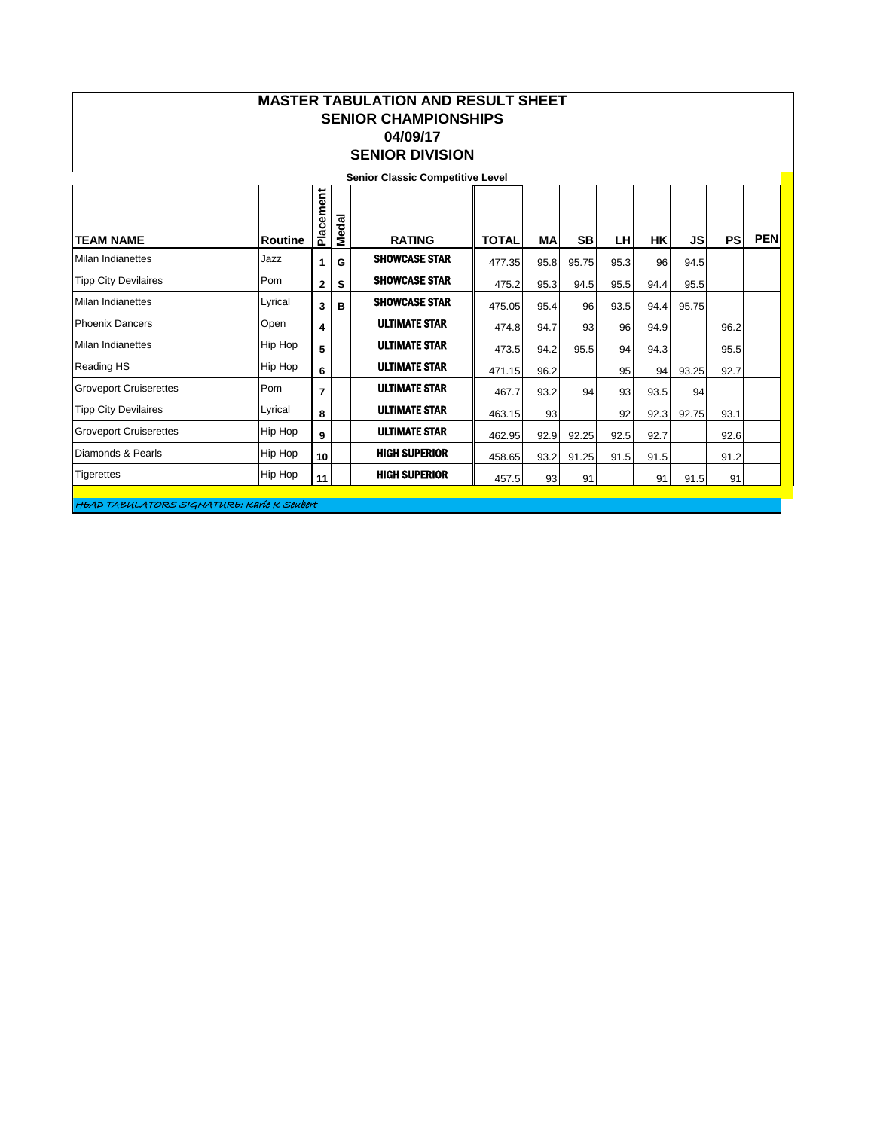| <b>MASTER TABULATION AND RESULT SHEET</b><br><b>SENIOR CHAMPIONSHIPS</b><br>04/09/17<br><b>SENIOR DIVISION</b> |                |                |       |                                         |              |                 |           |      |      |           |           |            |
|----------------------------------------------------------------------------------------------------------------|----------------|----------------|-------|-----------------------------------------|--------------|-----------------|-----------|------|------|-----------|-----------|------------|
|                                                                                                                |                |                |       | <b>Senior Classic Competitive Level</b> |              |                 |           |      |      |           |           |            |
| <b>TEAM NAME</b>                                                                                               | <b>Routine</b> | Placement      | Medal | <b>RATING</b>                           | <b>TOTAL</b> | MA              | <b>SB</b> | LH.  | НK   | <b>JS</b> | <b>PS</b> | <b>PEN</b> |
| Milan Indianettes                                                                                              | Jazz           | 1.             | G     | <b>SHOWCASE STAR</b>                    | 477.35       | 95.8            | 95.75     | 95.3 | 96   | 94.5      |           |            |
| <b>Tipp City Devilaires</b>                                                                                    | Pom            | 2              | S     | <b>SHOWCASE STAR</b>                    | 475.2        | 95.3            | 94.5      | 95.5 | 94.4 | 95.5      |           |            |
| Milan Indianettes                                                                                              | Lyrical        | 3              | B     | <b>SHOWCASE STAR</b>                    | 475.05       | 95.4            | 96        | 93.5 | 94.4 | 95.75     |           |            |
| <b>Phoenix Dancers</b>                                                                                         | Open           | 4              |       | <b>ULTIMATE STAR</b>                    | 474.8        | 94.7            | 93        | 96   | 94.9 |           | 96.2      |            |
| Milan Indianettes                                                                                              | Hip Hop        | 5              |       | <b>ULTIMATE STAR</b>                    | 473.5        | 94.2            | 95.5      | 94   | 94.3 |           | 95.5      |            |
| Reading HS                                                                                                     | Hip Hop        | 6              |       | <b>ULTIMATE STAR</b>                    | 471.15       | 96.2            |           | 95   | 94   | 93.25     | 92.7      |            |
| <b>Groveport Cruiserettes</b>                                                                                  | Pom            | $\overline{7}$ |       | <b>ULTIMATE STAR</b>                    | 467.7        | 93.2            | 94        | 93   | 93.5 | 94        |           |            |
| <b>Tipp City Devilaires</b>                                                                                    | Lyrical        | 8              |       | <b>ULTIMATE STAR</b>                    | 463.15       | 93 <sub>l</sub> |           | 92   | 92.3 | 92.75     | 93.1      |            |
| <b>Groveport Cruiserettes</b>                                                                                  | <b>Hip Hop</b> | 9              |       | <b>ULTIMATE STAR</b>                    | 462.95       | 92.9            | 92.25     | 92.5 | 92.7 |           | 92.6      |            |
| Diamonds & Pearls                                                                                              | Hip Hop        | 10             |       | <b>HIGH SUPERIOR</b>                    | 458.65       | 93.2            | 91.25     | 91.5 | 91.5 |           | 91.2      |            |
| <b>Tigerettes</b>                                                                                              | Hip Hop        | 11             |       | <b>HIGH SUPERIOR</b>                    | 457.5        | 93              | 91        |      | 91   | 91.5      | 91        |            |

HEAD TABULATORS SIGNATURE: Karie K Seubert